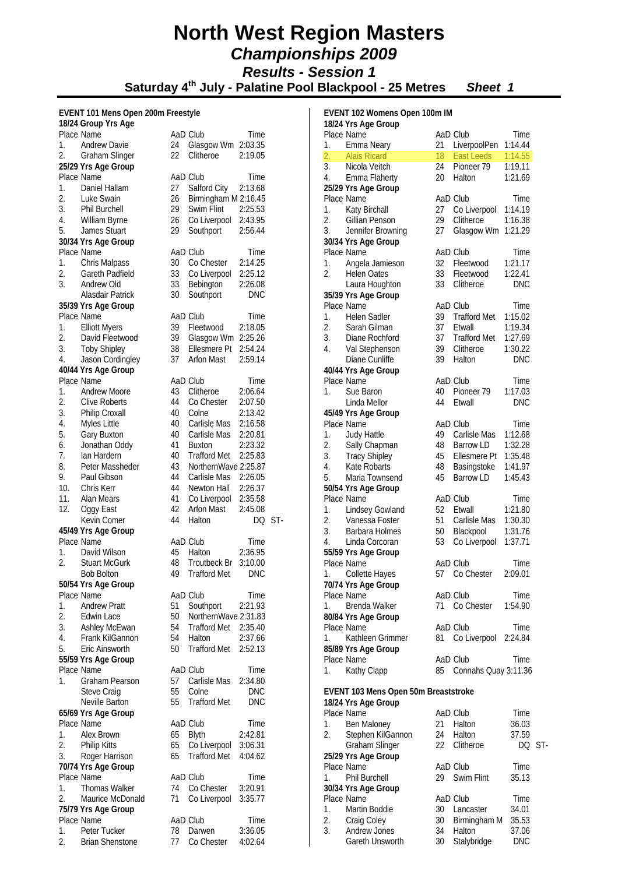**Saturday 4th July - Palatine Pool Blackpool - 25 Metres** *Sheet 1*

2:45.08 DO ST-

#### **EVENT 101 Mens Open 200m Freestyle**

|                  | -------<br>18/24 Group Yrs Age       |                |                      |                    |
|------------------|--------------------------------------|----------------|----------------------|--------------------|
|                  | Place Name                           |                | AaD Club             | Time               |
| 1.               | <b>Andrew Davie</b>                  | 24             | Glasgow Wm           | 2:03.35            |
| 2.               | Graham Slinger                       | 22             | Clitheroe            | 2:19.05            |
|                  | 25/29 Yrs Age Group                  |                |                      |                    |
|                  | Place Name                           |                | AaD Club             | Time               |
| 1.               | Daniel Hallam                        | 27             | Salford City         | 2:13.68            |
| 2.               | Luke Swain                           | 26             | Birmingham M 2:16.45 |                    |
| 3.               | <b>Phil Burchell</b>                 | 29             | Swim Flint           | 2:25.53            |
| 4.               | William Byrne                        | $\frac{26}{5}$ | Co Liverpool 2:43.95 |                    |
| 5.               | James Stuart                         | 29             | Southport            | 2:56.44            |
|                  | 30/34 Yrs Age Group                  |                |                      |                    |
|                  | Place Name                           |                | AaD Club             | Time               |
| 1.               | Chris Malpass                        | 30             | Co Chester           | 2:14.25            |
| 2.<br>3.         | <b>Gareth Padfield</b><br>Andrew Old | 33<br>33       | Co Liverpool         | 2:25.12<br>2:26.08 |
|                  | Alasdair Patrick                     | 30             | Bebington            | <b>DNC</b>         |
|                  |                                      |                | Southport            |                    |
|                  | 35/39 Yrs Age Group<br>Place Name    |                | AaD Club             | Time               |
| 1.               | <b>Elliott Myers</b>                 | 39             | Fleetwood            | 2:18.05            |
| 2.               | David Fleetwood                      | 39             | Glasgow Wm           | 2:25.26            |
| 3.               | <b>Toby Shipley</b>                  | 38             | Ellesmere Pt         | 2:54.24            |
| 4.               | Jason Cordingley                     | 37             | <b>Arfon Mast</b>    | 2:59.14            |
|                  | 40/44 Yrs Age Group                  |                |                      |                    |
|                  | Place Name                           |                | AaD Club             | Time               |
| 1.               | Andrew Moore                         | 43             | Clitheroe            | 2:06.64            |
| 2.               | <b>Clive Roberts</b>                 | 44             | Co Chester           | 2:07.50            |
| 3.               | <b>Philip Croxall</b>                | 40             | Colne                | 2:13.42            |
| 4.               | Myles Little                         | 40             | Carlisle Mas         | 2:16.58            |
| 5.               | Gary Buxton                          |                | Carlisle Mas         | 2:20.81            |
| 6.               | Jonathan Oddy                        | 40<br>41       | Buxton               | 2:23.32            |
| 7.               | Ian Hardern                          | 40             | <b>Trafford Met</b>  | 2:25.83            |
| 8.               | Peter Massheder                      | 43             | NorthernWave 2:25.87 |                    |
| 9.               | Paul Gibson                          | 44             | Carlisle Mas 2:26.05 |                    |
| 10.              | Chris Kerr                           | 44             | Newton Hall 2:26.37  |                    |
| 11.              | Alan Mears                           | 41             | Co Liverpool 2:35.58 |                    |
| 12.              | Oggy East                            | 42             | Arfon Mast           | 2:45.08            |
|                  | Kevin Comer                          | 44             | Halton               | DQ                 |
|                  | 45/49 Yrs Age Group                  |                |                      |                    |
|                  | Place Name                           |                | AaD Club             | Time               |
| 1.               | David Wilson                         |                | 45 Halton            | 2:36.95            |
| $\overline{2}$ . | <b>Stuart McGurk</b>                 | 48             | Troutbeck Br         | 3:10.00            |
|                  | <b>Bob Bolton</b>                    | 49             | <b>Trafford Met</b>  | <b>DNC</b>         |
|                  | 50/54 Yrs Age Group                  |                |                      |                    |
|                  | Place Name                           |                | AaD Club             | Time               |
| 1.               | <b>Andrew Pratt</b>                  | 51             | Southport            | 2:21.93            |
| 2.               | Edwin Lace                           | 50             | NorthernWave 2:31.83 |                    |
| 3.               | Ashley McEwan                        | 54             | <b>Trafford Met</b>  | 2:35.40            |
| 4.               | Frank KilGannon                      | 54             | Halton               | 2:37.66            |
| 5.               | Eric Ainsworth                       | 50             | <b>Trafford Met</b>  | 2:52.13            |
|                  | 55/59 Yrs Age Group                  |                |                      |                    |
|                  | Place Name                           |                | AaD Club             | Time               |
| 1.               | <b>Graham Pearson</b>                | 57             | Carlisle Mas         | 2:34.80            |
|                  | Steve Craig                          | 55             | Colne                | <b>DNC</b>         |
|                  | Neville Barton                       | 55             | <b>Trafford Met</b>  | <b>DNC</b>         |
|                  | 65/69 Yrs Age Group                  |                |                      |                    |
|                  | Place Name                           |                | AaD Club             | Time               |
| 1.               | Alex Brown                           | 65             | Blyth                | 2:42.81            |
| 2.               | <b>Philip Kitts</b>                  | 65             | Co Liverpool         | 3:06.31            |
| 3.               | Roger Harrison                       | 65             | <b>Trafford Met</b>  | 4:04.62            |
|                  | 70/74 Yrs Age Group                  |                |                      |                    |
|                  | Place Name                           |                | AaD Club             | Time               |
| 1.               | <b>Thomas Walker</b>                 | 74             | Co Chester           | 3:20.91            |
| 2.               | Maurice McDonald                     | 71             | Co Liverpool         | 3:35.77            |
|                  | 75/79 Yrs Age Group                  |                |                      |                    |
|                  | Place Name                           |                | AaD Club             | Time               |
| 1.               | Peter Tucker                         | 78             | Darwen               | 3:36.05            |
| 2.               | <b>Brian Shenstone</b>               | 77 -           | Co Chester           | 4:02.64            |

| EVENT 102 Womens Open 100m IM |                                             |          |                      |                    |      |
|-------------------------------|---------------------------------------------|----------|----------------------|--------------------|------|
|                               | 18/24 Yrs Age Group                         |          |                      |                    |      |
|                               | Place Name                                  |          | AaD Club             | Time               |      |
| 1.                            | Emma Neary                                  | 21       | LiverpoolPen         | 1:14.44            |      |
| $\overline{2}$ .              | <b>Alais Ricard</b>                         | 18       | <b>East Leeds</b>    | 1:14.55            |      |
| 3.<br>4.                      | Nicola Veitch                               | 24<br>20 | Pioneer 79<br>Halton | 1:19.11<br>1:21.69 |      |
|                               | Emma Flaherty                               |          |                      |                    |      |
|                               | 25/29 Yrs Age Group<br>Place Name           |          | AaD Club             |                    |      |
| 1.                            |                                             | 27       | Co Liverpool         | Time<br>1:14.19    |      |
| 2.                            | Katy Birchall<br>Gillian Penson             | 29       | Clitheroe            | 1:16.38            |      |
| 3.                            | Jennifer Browning                           | 27       |                      | 1:21.29            |      |
|                               | 30/34 Yrs Age Group                         |          | Glasgow Wm           |                    |      |
|                               | Place Name                                  |          | AaD Club             | Time               |      |
| 1.                            | Angela Jamieson                             | 32       | Fleetwood            | 1:21.17            |      |
| 2.                            | <b>Helen Oates</b>                          | 33       | Fleetwood            | 1:22.41            |      |
|                               | Laura Houghton                              | 33       | Clitheroe            | <b>DNC</b>         |      |
|                               | 35/39 Yrs Age Group                         |          |                      |                    |      |
|                               | Place Name                                  |          | AaD Club             | Time               |      |
| 1.                            | <b>Helen Sadler</b>                         | 39       | <b>Trafford Met</b>  | 1:15.02            |      |
| 2.                            | Sarah Gilman                                | 37       | Etwall               |                    |      |
| 3.                            | Diane Rochford                              | 37       | <b>Trafford Met</b>  | 1:19.34<br>1:27.69 |      |
|                               |                                             |          |                      | 1:30.22            |      |
| 4.                            | Val Stephenson                              | 39       | Clitheroe            |                    |      |
|                               | Diane Cunliffe                              | 39       | Halton               | <b>DNC</b>         |      |
|                               | 40/44 Yrs Age Group                         |          |                      |                    |      |
|                               | Place Name                                  |          | AaD Club             | Time               |      |
| 1.                            | Sue Baron                                   | 40       | Pioneer 79           | 1:17.03            |      |
|                               | Linda Mellor                                | 44       | Etwall               | <b>DNC</b>         |      |
|                               | 45/49 Yrs Age Group                         |          |                      |                    |      |
|                               | Place Name                                  |          | AaD Club             | Time               |      |
| 1.                            | Judy Hattle                                 | 49       | Carlisle Mas         | 1:12.68            |      |
| 2.                            | Sally Chapman                               | 48       | Barrow LD            | 1:32.28            |      |
| 3.                            | <b>Tracy Shipley</b>                        | 45       | Ellesmere Pt         | 1:35.48            |      |
| 4.                            | Kate Robarts                                | 48       | Basingstoke          | 1:41.97            |      |
| 5.                            | Maria Townsend                              | 45       | <b>Barrow LD</b>     | 1:45.43            |      |
|                               | 50/54 Yrs Age Group                         |          |                      |                    |      |
|                               | Place Name                                  |          | AaD Club             | Time               |      |
| 1.                            | Lindsey Gowland                             | 52       | Etwall               | 1:21.80            |      |
| 2.                            | Vanessa Foster                              | 51       | Carlisle Mas         | 1:30.30            |      |
| 3.                            | <b>Barbara Holmes</b>                       | 50       | Blackpool            | 1:31.76            |      |
| 4.                            | Linda Corcoran                              | 53       | Co Liverpool         | 1:37.71            |      |
|                               | 55/59 Yrs Age Group                         |          |                      |                    |      |
|                               | Place Name                                  |          | AaD Club             | Time               |      |
|                               | 1. Collette Hayes                           |          | 57 Co Chester        | 2:09.01            |      |
|                               | 70/74 Yrs Age Group                         |          |                      |                    |      |
|                               | Place Name                                  |          | AaD Club             | Time               |      |
| 1.                            | Brenda Walker                               | 71       | Co Chester           | 1:54.90            |      |
|                               | 80/84 Yrs Age Group                         |          |                      |                    |      |
|                               | Place Name                                  |          | AaD Club             | Time               |      |
| 1.                            | Kathleen Grimmer                            | 81       | Co Liverpool         | 2:24.84            |      |
|                               | 85/89 Yrs Age Group                         |          |                      |                    |      |
|                               | Place Name                                  |          | AaD Club             | Time               |      |
| 1.                            | Kathy Clapp                                 | 85       | Connahs Quay 3:11.36 |                    |      |
|                               |                                             |          |                      |                    |      |
|                               | <b>EVENT 103 Mens Open 50m Breaststroke</b> |          |                      |                    |      |
|                               | 18/24 Yrs Age Group                         |          |                      |                    |      |
|                               | Place Name                                  |          | AaD Club             | Time               |      |
| 1.                            | Ben Maloney                                 |          | 21 Halton            | 36.03              |      |
| 2.                            | Stephen KilGannon                           | 24       | Halton               | 37.59              |      |
|                               | Graham Slinger                              | 22       | Clitheroe            | DQ                 | -ST- |
|                               | 25/29 Yrs Age Group                         |          |                      |                    |      |
|                               | Place Name                                  |          | AaD Club             | Time               |      |
| 1.                            | <b>Phil Burchell</b>                        | 29       | Swim Flint           | 35.13              |      |
|                               | 30/34 Yrs Age Group                         |          |                      |                    |      |
|                               | Place Name                                  |          | AaD Club             | Time               |      |
| 1.                            | Martin Boddie                               | 30       | Lancaster            | 34.01              |      |
| 2.                            | Craig Coley                                 | 30       | Birmingham M         | 35.53              |      |
| 3.                            | Andrew Jones                                |          | 34 Halton            | 37.06              |      |
|                               | Gareth Unsworth                             | 30       | Stalybridge          | <b>DNC</b>         |      |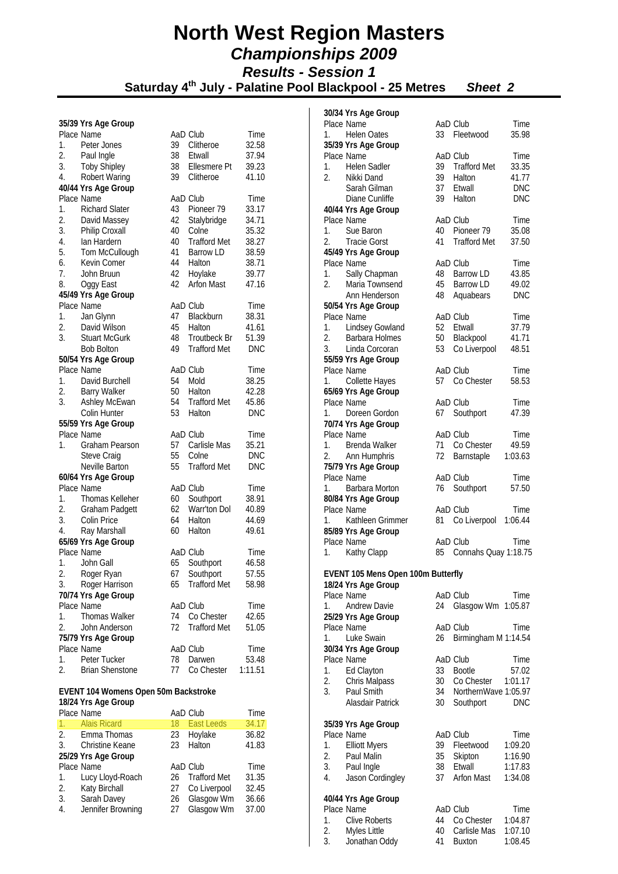**Saturday 4th July - Palatine Pool Blackpool - 25 Metres** *Sheet 2*

#### **35/39 Yrs Age Group**

| - 3<br>Place Name             |          | AaD Club            | Time       |
|-------------------------------|----------|---------------------|------------|
| 1.<br>Peter Jones             | 39       | Clitheroe           | 32.58      |
| 2.<br>Paul Ingle              | 38       | Etwall              | 37.94      |
| 3.<br><b>Toby Shipley</b>     | 38       | Ellesmere Pt        | 39.23      |
| 4.<br><b>Robert Waring</b>    | 39       | Clitheroe           | 41.10      |
| 40/44 Yrs Age Group           |          |                     |            |
| Place Name                    |          | AaD Club            | Time       |
| 1.<br><b>Richard Slater</b>   | 43       | Pioneer 79          | 33.17      |
| 2.<br>David Massey            | 42       | Stalybridge         | 34.71      |
| 3.<br>Philip Croxall          | 40       | Colne               | 35.32      |
| 4.<br>lan Hardern             | 40       | <b>Trafford Met</b> | 38.27      |
| 5.<br>Tom McCullough          |          | <b>Barrow LD</b>    | 38.59      |
| Kevin Comer<br>6.             | 41<br>44 | Halton              | 38.71      |
| 7.<br>John Bruun              | 42       | Hoylake             | 39.77      |
| 8.<br>Oggy East               | 42       | <b>Arfon Mast</b>   | 47.16      |
| 45/49 Yrs Age Group           |          |                     |            |
| Place Name                    |          | AaD Club            | Time       |
| 1.<br>Jan Glynn               | 47       | Blackburn           | 38.31      |
| 2.<br>David Wilson            | 45       | Halton              | 41.61      |
| 3.<br><b>Stuart McGurk</b>    |          | 48 Troutbeck Br     | 51.39      |
| <b>Bob Bolton</b>             | 49       | <b>Trafford Met</b> | <b>DNC</b> |
| 50/54 Yrs Age Group           |          |                     |            |
| Place Name                    |          | AaD Club            | Time       |
| 1. David Burchell             | 54       | Mold                | 38.25      |
| 2.                            | 50       | Halton              | 42.28      |
| <b>Barry Walker</b><br>3.     |          | <b>Trafford Met</b> |            |
| Ashley McEwan<br>Colin Hunter | 54       | 53 Halton           | 45.86      |
|                               |          |                     | <b>DNC</b> |
| 55/59 Yrs Age Group           |          |                     |            |
| Place Name                    |          | AaD Club            | Time       |
| Graham Pearson<br>1.          | 57<br>55 | Carlisle Mas        | 35.21      |
| Steve Craig                   |          | Colne               | <b>DNC</b> |
| Neville Barton                | 55       | <b>Trafford Met</b> | <b>DNC</b> |
| 60/64 Yrs Age Group           |          |                     |            |
| Place Name                    |          | AaD Club            | Time       |
| 1.<br>Thomas Kelleher         | 60       | Southport           | 38.91      |
| 2.<br><b>Graham Padgett</b>   | 62       | Warr'ton Dol        | 40.89      |
| 3.<br>Colin Price             | 64       | Halton              | 44.69      |
| 4.<br>Ray Marshall            |          | 60 Halton           | 49.61      |
| 65/69 Yrs Age Group           |          |                     |            |
| Place Name                    |          | AaD Club            | Time       |
| 1.<br>John Gall               | 65<br>67 | Southport           | 46.58      |
| 2.<br>Roger Ryan              |          | Southport           | 57.55      |
| 3.<br>Roger Harrison          | 65       | <b>Trafford Met</b> | 58.98      |
| 70/74 Yrs Age Group           |          |                     |            |
| Place Name                    |          | AaD Club            | Time       |
| 1.<br><b>Thomas Walker</b>    | 74       | Co Chester          | 42.65      |
| 2.<br>John Anderson           | 72       | <b>Trafford Met</b> | 51.05      |
| 75/79 Yrs Age Group           |          |                     |            |
| Place Name                    |          | AaD Club            | Time       |
| 1.<br>Peter Tucker            | 78       | Darwen              | 53.48      |
| <b>Brian Shenstone</b><br>2.  | 77       | Co Chester          | 1:11.51    |

#### **EVENT 104 Womens Open 50m Backstroke 18/24 Yrs Age Group**

|                | Place Name          |    | AaD Club          | Time  |
|----------------|---------------------|----|-------------------|-------|
| $1_{\cdot}$    | <b>Alais Ricard</b> | 18 | <b>East Leeds</b> | 34.17 |
|                | 2. Emma Thomas      | 23 | Hoylake           | 36.82 |
| 3 <sub>1</sub> | Christine Keane     | 23 | Halton            | 41.83 |
|                | 25/29 Yrs Age Group |    |                   |       |
|                | Place Name          |    | AaD Club          | Time  |
| 1.             | Lucy Lloyd-Roach    | 26 | Trafford Met      | 31.35 |
| 2.             | Katy Birchall       | 27 | Co Liverpool      | 32.45 |
| 3.             | Sarah Davey         | 26 | Glasgow Wm        | 36.66 |
| 4.             | Jennifer Browning   | 27 | Glasgow Wm        | 37.00 |

|          | 30/34 Yrs Age Group                  |          |                               |                |
|----------|--------------------------------------|----------|-------------------------------|----------------|
|          | Place Name                           |          | AaD Club                      | Time           |
|          | 1. Helen Oates                       | 33       | Fleetwood                     | 35.98          |
|          | 35/39 Yrs Age Group                  |          |                               |                |
|          | Place Name                           |          | AaD Club                      | Time           |
| 1.<br>2. | Helen Sadler<br>Nikki Dand           | 39<br>39 | <b>Trafford Met</b><br>Halton | 33.35<br>41.77 |
|          | Sarah Gilman                         | 37       | Etwall                        | DNC            |
|          | Diane Cunliffe                       | 39       | Halton                        | DNC            |
|          | 40/44 Yrs Age Group                  |          |                               |                |
|          | Place Name                           |          | AaD Club                      | Time           |
| 1.       | Sue Baron                            | 40       | Pioneer 79                    | 35.08          |
| 2.       | <b>Tracie Gorst</b>                  |          | 41 Trafford Met               | 37.50          |
|          | 45/49 Yrs Age Group                  |          |                               |                |
|          | Place Name                           |          | AaD Club                      | Time           |
| 1.       | Sally Chapman                        | 48       | <b>Barrow LD</b>              | 43.85          |
| 2.       | Maria Townsend<br>Ann Henderson      | 45<br>48 | <b>Barrow LD</b>              | 49.02<br>DNC   |
|          | 50/54 Yrs Age Group                  |          | Aquabears                     |                |
|          | Place Name                           |          | AaD Club                      | Time           |
|          | 1. Lindsey Gowland                   | 52       | Etwall                        | 37.79          |
| 2.       | <b>Barbara Holmes</b>                | 50       | Blackpool                     | 41.71          |
| 3.       | Linda Corcoran                       | 53       | Co Liverpool                  | 48.51          |
|          | 55/59 Yrs Age Group                  |          |                               |                |
|          | Place Name                           |          | AaD Club                      | Time           |
| 1.       | Collette Hayes                       |          | 57 Co Chester                 | 58.53          |
|          | 65/69 Yrs Age Group                  |          |                               |                |
|          | Place Name                           |          | AaD Club                      | Time           |
| 1.       | Doreen Gordon<br>70/74 Yrs Age Group |          | 67 Southport                  | 47.39          |
|          | Place Name                           |          | AaD Club                      | Time           |
|          | 1. Brenda Walker                     | 71       | Co Chester                    | 49.59          |
|          | 2. Ann Humphris                      | 72       | Barnstaple                    | 1:03.63        |
|          | 75/79 Yrs Age Group                  |          |                               |                |
|          | Place Name                           |          | AaD Club                      | Time           |
| 1.       | Barbara Morton                       | 76       | Southport                     | 57.50          |
|          | 80/84 Yrs Age Group                  |          |                               |                |
|          | Place Name                           |          | AaD Club                      | Time           |
| $1_{-}$  | Kathleen Grimmer                     | 81       | Co Liverpool 1:06.44          |                |
|          | 85/89 Yrs Age Group<br>Place Name    |          | AaD Club                      |                |
| 1.       | Kathy Clapp                          | 85       | Connahs Quay 1:18.75          | Time           |
|          |                                      |          |                               |                |
|          | EVENT 105 Mens Open 100m Butterfly   |          |                               |                |
|          | 18/24 Yrs Age Group                  |          |                               |                |
|          | Place Name                           |          | AaD Club                      | Time           |
| 1.       | <b>Andrew Davie</b>                  | 24       | Glasgow Wm 1:05.87            |                |
|          | 25/29 Yrs Age Group                  |          |                               |                |
|          | Place Name                           |          | AaD Club                      | Time           |
| 1.       | Luke Swain                           | 26       | Birmingham M 1:14.54          |                |
|          | 30/34 Yrs Age Group<br>Place Name    |          | AaD Club                      |                |
| 1.       | Ed Clayton                           | 33       | <b>Bootle</b>                 | Time<br>57.02  |
| 2.       | Chris Malpass                        | 30       | Co Chester                    | 1:01.17        |
| 3.       | Paul Smith                           | 34       | NorthernWave 1:05.97          |                |
|          | Alasdair Patrick                     | 30       | Southport                     | <b>DNC</b>     |
|          |                                      |          |                               |                |
|          | 35/39 Yrs Age Group                  |          |                               |                |
|          | Place Name                           |          | AaD Club                      | Time           |
| 1.       | <b>Elliott Myers</b>                 | 39       | Fleetwood                     | 1:09.20        |
| 2.       | Paul Malin                           | 35       | Skipton                       | 1:16.90        |
| 3.       | Paul Ingle                           | 38       | Etwall                        | 1:17.83        |
| 4.       | Jason Cordingley                     | 37       | <b>Arfon Mast</b>             | 1:34.08        |
|          | 40/44 Yrs Age Group                  |          |                               |                |
|          | Place Name                           |          | AaD Club                      | Time           |
| 1.       | <b>Clive Roberts</b>                 | 44       | Co Chester                    | 1:04.87        |
| 2.       | Myles Little                         | 40       | Carlisle Mas                  | 1:07.10        |
| 3.       | Jonathan Oddy                        | 41       | <b>Buxton</b>                 | 1:08.45        |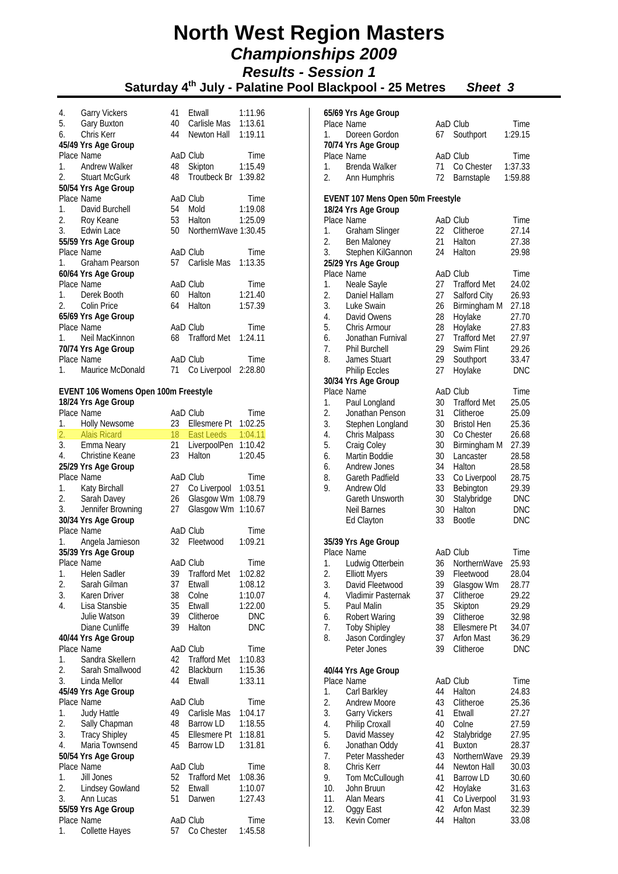**Saturday 4th July - Palatine Pool Blackpool - 25 Metres** *Sheet 3*

| <b>Garry Vickers</b><br>41<br>Etwall<br>4.        | 1:11.96              |
|---------------------------------------------------|----------------------|
| Gary Buxton<br>5.<br>40                           | Carlisle Mas 1:13.61 |
| Chris Kerr<br>Newton Hall<br>44<br>6.             | 1:19.11              |
| 45/49 Yrs Age Group                               |                      |
| Place Name<br>AaD Club                            | Time                 |
| Andrew Walker<br>Skipton<br>48<br>1.              | 1:15.49              |
| <b>Stuart McGurk</b><br>48<br>$2^{+}$             | Troutbeck Br 1:39.82 |
| 50/54 Yrs Age Group                               |                      |
| Place Name<br>AaD Club                            | Time                 |
| 54<br>Mold<br>1. David Burchell                   | 1:19.08              |
| 2. Roy Keane<br>53<br>Halton                      | 1:25.09              |
| 3. Edwin Lace<br>50                               | NorthernWave 1:30.45 |
| 55/59 Yrs Age Group                               |                      |
| Place Name<br>AaD Club                            | Time                 |
| 57<br>Graham Pearson<br>1 <sup>1</sup>            | Carlisle Mas 1:13.35 |
| 60/64 Yrs Age Group                               |                      |
| Place Name<br>AaD Club                            | Time                 |
| 1. Derek Booth<br>60<br>Halton                    | 1:21.40              |
| 2. Colin Price<br>Halton<br>64                    | 1:57.39              |
| 65/69 Yrs Age Group                               |                      |
| Place Name<br>AaD Club                            | Time                 |
| Neil MacKinnon<br>Trafford Met<br>68              | 1:24.11              |
| 70/74 Yrs Age Group                               |                      |
| Place Name<br>AaD Club                            | Time                 |
| 1. Maurice McDonald<br>71<br>Co Liverpool 2:28.80 |                      |

#### **EVENT 106 Womens Open 100m Freestyle**

|                  | 18/24 Yrs Age Group  |    |                     |            |
|------------------|----------------------|----|---------------------|------------|
|                  | Place Name           |    | AaD Club            | Time       |
| 1.               | <b>Holly Newsome</b> | 23 | Ellesmere Pt        | 1:02.25    |
| $\overline{2}$ . | <b>Alais Ricard</b>  | 18 | <b>East Leeds</b>   | 1:04.11    |
| 3.               | Emma Neary           | 21 | LiverpoolPen        | 1:10.42    |
| 4.               | Christine Keane      | 23 | Halton              | 1:20.45    |
|                  | 25/29 Yrs Age Group  |    |                     |            |
|                  | Place Name           |    | AaD Club            | Time       |
| 1.               | Katy Birchall        | 27 | Co Liverpool        | 1:03.51    |
| 2.               | Sarah Davey          | 26 | Glasgow Wm          | 1:08.79    |
| 3.               | Jennifer Browning    | 27 | Glasgow Wm          | 1:10.67    |
|                  | 30/34 Yrs Age Group  |    |                     |            |
|                  | Place Name           |    | AaD Club            | Time       |
| 1.               | Angela Jamieson      | 32 | Fleetwood           | 1:09.21    |
|                  | 35/39 Yrs Age Group  |    |                     |            |
|                  | Place Name           |    | AaD Club            | Time       |
| 1.               | Helen Sadler         | 39 | <b>Trafford Met</b> | 1:02.82    |
| 2.               | Sarah Gilman         | 37 | Etwall              | 1:08.12    |
| 3.               | Karen Driver         | 38 | Colne               | 1:10.07    |
| 4.               | Lisa Stansbie        | 35 | Etwall              | 1:22.00    |
|                  | Julie Watson         | 39 | Clitheroe           | <b>DNC</b> |
|                  | Diane Cunliffe       | 39 | Halton              | <b>DNC</b> |
|                  | 40/44 Yrs Age Group  |    |                     |            |
|                  | Place Name           |    | AaD Club            | Time       |
| 1.               | Sandra Skellern      | 42 | <b>Trafford Met</b> | 1:10.83    |
| 2.               | Sarah Smallwood      | 42 | Blackburn           | 1:15.36    |
| 3.               | Linda Mellor         | 44 | Etwall              | 1:33.11    |
|                  | 45/49 Yrs Age Group  |    |                     |            |
|                  | Place Name           |    | AaD Club            | Time       |
| 1.               | Judy Hattle          | 49 | Carlisle Mas        | 1:04.17    |
| 2.               | Sally Chapman        | 48 | <b>Barrow LD</b>    | 1:18.55    |
| 3.               | <b>Tracy Shipley</b> | 45 | Ellesmere Pt        | 1:18.81    |
| 4.               | Maria Townsend       | 45 | <b>Barrow LD</b>    | 1:31.81    |
|                  | 50/54 Yrs Age Group  |    |                     |            |
|                  | Place Name           |    | AaD Club            | Time       |
| 1.               | Jill Jones           | 52 | <b>Trafford Met</b> | 1:08.36    |
| 2.               | Lindsey Gowland      | 52 | Etwall              | 1:10.07    |
| 3.               | Ann Lucas            | 51 | Darwen              | 1:27.43    |
|                  | 55/59 Yrs Age Group  |    |                     |            |
|                  | Place Name           |    | AaD Club            | Time       |
| 1.               | Collette Hayes       | 57 | Co Chester          | 1:45.58    |

|          | 65/69 Yrs Age Group<br>Place Name                        |          | AaD Club                         | Time           |
|----------|----------------------------------------------------------|----------|----------------------------------|----------------|
| 1.       | Doreen Gordon                                            | 67       | Southport                        | 1:29.15        |
|          | 70/74 Yrs Age Group                                      |          |                                  |                |
|          | Place Name                                               |          | AaD Club                         | Time           |
| 1.       | Brenda Walker                                            | 71       | Co Chester                       | 1:37.33        |
| 2.       | Ann Humphris                                             | 72       | Barnstaple                       | 1:59.88        |
|          |                                                          |          |                                  |                |
|          | EVENT 107 Mens Open 50m Freestyle<br>18/24 Yrs Age Group |          |                                  |                |
|          | Place Name                                               |          | AaD Club                         | Time           |
| 1.       | Graham Slinger                                           | 22       | Clitheroe                        | 27.14          |
| 2.       | Ben Maloney                                              | 21       | Halton                           | 27.38          |
| 3.       | Stephen KilGannon                                        | 24       | Halton                           | 29.98          |
|          | 25/29 Yrs Age Group                                      |          |                                  |                |
|          | Place Name                                               |          | AaD Club                         | Time           |
| 1.       | Neale Sayle                                              | 27       | <b>Trafford Met</b>              | 24.02          |
| 2.       | Daniel Hallam                                            | 27       | Salford City                     | 26.93          |
| 3.<br>4. | Luke Swain<br>David Owens                                | 26<br>28 | Birmingham M<br>Hoylake          | 27.18<br>27.70 |
| 5.       | Chris Armour                                             | 28       | Hoylake                          | 27.83          |
| 6.       | Jonathan Furnival                                        | 27       | <b>Trafford Met</b>              | 27.97          |
| 7.       | <b>Phil Burchell</b>                                     | 29       | Swim Flint                       | 29.26          |
| 8.       | James Stuart                                             | 29       | Southport                        | 33.47          |
|          | <b>Philip Eccles</b>                                     | 27       | Hoylake                          | <b>DNC</b>     |
|          | 30/34 Yrs Age Group                                      |          |                                  |                |
|          | Place Name                                               |          | AaD Club                         | Time           |
| 1.       | Paul Longland                                            | 30       | <b>Trafford Met</b>              | 25.05          |
| 2.       | Jonathan Penson                                          | 31       | Clitheroe                        | 25.09          |
| 3.<br>4. | Stephen Longland<br>Chris Malpass                        | 30<br>30 | <b>Bristol Hen</b><br>Co Chester | 25.36<br>26.68 |
| 5.       | Craig Coley                                              | 30       | Birmingham M                     | 27.39          |
| 6.       | Martin Boddie                                            | 30       | Lancaster                        | 28.58          |
| 6.       | Andrew Jones                                             | 34       | Halton                           | 28.58          |
| 8.       | Gareth Padfield                                          | 33       | Co Liverpool                     | 28.75          |
| 9.       | Andrew Old                                               | 33       | Bebington                        | 29.39          |
|          | Gareth Unsworth                                          | 30       | Stalybridge                      | <b>DNC</b>     |
|          | Neil Barnes                                              | 30       | Halton                           | <b>DNC</b>     |
|          | Ed Clayton                                               | 33       | <b>Bootle</b>                    | DNC            |
|          | 35/39 Yrs Age Group                                      |          |                                  |                |
|          | Place Name                                               |          | AaD Club                         | Time           |
|          | 1. Ludwig Otterbein                                      |          | 36 NorthernWave                  | 25.93          |
| 2.       | <b>Elliott Myers</b>                                     | 39       | Fleetwood                        | 28.04          |
| 3.       | David Fleetwood                                          | 39       | Glasgow Wm                       | 28.77          |
| 4.       | Vladimir Pasternak                                       | 37       | Clitheroe                        | 29.22          |
| 5.       | Paul Malin                                               | 35       | Skipton                          | 29.29          |
| 6.<br>7. | <b>Robert Waring</b>                                     | 39<br>38 | Clitheroe<br>Ellesmere Pt        | 32.98<br>34.07 |
| 8.       | <b>Toby Shipley</b><br>Jason Cordingley                  | 37       | <b>Arfon Mast</b>                | 36.29          |
|          | Peter Jones                                              | 39       | Clitheroe                        | <b>DNC</b>     |
|          |                                                          |          |                                  |                |
|          | 40/44 Yrs Age Group                                      |          |                                  |                |
|          | Place Name                                               |          | AaD Club                         | Time           |
| 1.       | Carl Barkley                                             | 44       | Halton                           | 24.83          |
| 2.       | <b>Andrew Moore</b>                                      | 43       | Clitheroe                        | 25.36          |
| 3.       | Garry Vickers                                            | 41       | Etwall                           | 27.27          |
| 4.<br>5. | Philip Croxall<br>David Massey                           | 40<br>42 | Colne<br>Stalybridge             | 27.59<br>27.95 |
| 6.       | Jonathan Oddy                                            | 41       | <b>Buxton</b>                    | 28.37          |
| 7.       | Peter Massheder                                          | 43       | NorthernWave                     | 29.39          |
| 8.       | Chris Kerr                                               | 44       | Newton Hall                      | 30.03          |
| 9.       | Tom McCullough                                           | 41       | <b>Barrow LD</b>                 | 30.60          |
| 10.      | John Bruun                                               | 42       | Hoylake                          | 31.63          |
| 11.      | Alan Mears                                               | 41       | Co Liverpool                     | 31.93          |
| 12.      | Oggy East                                                | 42       | Arfon Mast                       | 32.39          |
| 13.      | Kevin Comer                                              | 44       | Halton                           | 33.08          |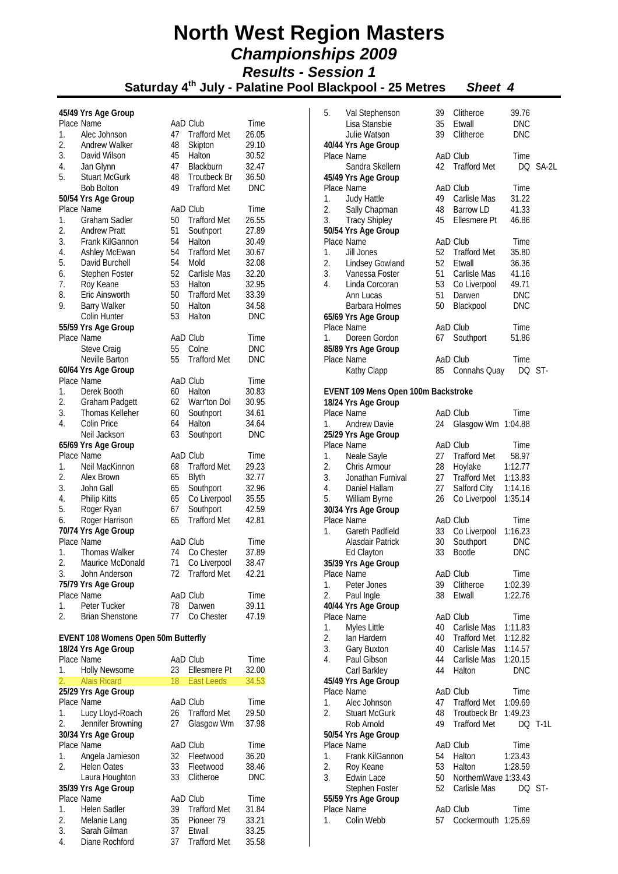|          | 45/49 Yrs Age Group                        |          |                        |                     |
|----------|--------------------------------------------|----------|------------------------|---------------------|
|          | Place Name                                 |          | AaD Club               | Time                |
| 1.       | Alec Johnson                               | 47       | <b>Trafford Met</b>    | 26.05               |
| 2.       | Andrew Walker                              | 48       | Skipton                | 29.10               |
| 3.       | David Wilson                               | 45       | Halton                 | 30.52               |
| 4.       | Jan Glynn                                  | 47       | Blackburn              | 32.47               |
| 5.       | <b>Stuart McGurk</b>                       | 48       | <b>Troutbeck Br</b>    | 36.50               |
|          | <b>Bob Bolton</b>                          | 49       | <b>Trafford Met</b>    | <b>DNC</b>          |
|          | 50/54 Yrs Age Group<br>Place Name          |          | AaD Club               | Time                |
| 1.       | <b>Graham Sadler</b>                       | 50       | <b>Trafford Met</b>    | 26.55               |
| 2.       | <b>Andrew Pratt</b>                        | 51       | Southport              | 27.89               |
| 3.       | Frank KilGannon                            | 54       | Halton                 | 30.49               |
| 4.       | Ashley McEwan                              | 54       | <b>Trafford Met</b>    | 30.67               |
| 5.       | David Burchell                             | 54       | Mold                   | 32.08               |
| 6.       | Stephen Foster                             |          | Carlisle Mas           | 32.20               |
| 7.       | Roy Keane                                  | 52<br>53 | Halton                 | 32.95               |
| 8.       | Eric Ainsworth                             | 50       | <b>Trafford Met</b>    | 33.39               |
| 9.       | <b>Barry Walker</b>                        | 50       | Halton                 | 34.58               |
|          | Colin Hunter                               | 53       | Halton                 | <b>DNC</b>          |
|          | 55/59 Yrs Age Group                        |          |                        |                     |
|          | Place Name                                 |          | AaD Club               | Time                |
|          | Steve Craig                                | 55       | Colne                  | <b>DNC</b>          |
|          | Neville Barton                             | 55       | <b>Trafford Met</b>    | <b>DNC</b>          |
|          | 60/64 Yrs Age Group                        |          |                        |                     |
|          | Place Name                                 |          | AaD Club               | Time                |
| 1.       | Derek Booth                                | 60       | Halton                 | 30.83               |
| 2.<br>3. | Graham Padgett<br>Thomas Kelleher          | 62<br>60 | Warr'ton Dol           | 30.95               |
| 4.       | Colin Price                                | 64       | Southport<br>Halton    | 34.61<br>34.64      |
|          | Neil Jackson                               | 63       | Southport              | <b>DNC</b>          |
|          | 65/69 Yrs Age Group                        |          |                        |                     |
|          | Place Name                                 |          | AaD Club               | Time                |
| 1.       | Neil MacKinnon                             | 68       | <b>Trafford Met</b>    | 29.23               |
| 2.       | Alex Brown                                 | 65       | Blyth                  | 32.77               |
| 3.       | John Gall                                  | 65       | Southport              | 32.96               |
| 4.       | <b>Philip Kitts</b>                        | 65       | Co Liverpool           | 35.55               |
| 5.       | Roger Ryan                                 | 67       | Southport              | 42.59               |
| 6.       | Roger Harrison                             | 65       | <b>Trafford Met</b>    | 42.81               |
|          | 70/74 Yrs Age Group                        |          |                        |                     |
|          | Place Name                                 |          | AaD Club               | Time                |
| 1.       | <b>Thomas Walker</b>                       | 74       | Co Chester             | 37.89               |
| 2.       | Maurice McDonald                           | 71       | Co Liverpool           | 38.47               |
| 3.       | John Anderson                              | 72       | Trafford Met           | 42.21               |
|          | 75/79 Yrs Age Group<br>Place Name          |          | AaD Club               |                     |
| 1.       | Peter Tucker                               | 78       | Darwen                 | Time<br>39.11       |
| 2.       | <b>Brian Shenstone</b>                     | 77       | Co Chester             | 47.19               |
|          |                                            |          |                        |                     |
|          | <b>EVENT 108 Womens Open 50m Butterfly</b> |          |                        |                     |
|          | 18/24 Yrs Age Group                        |          |                        |                     |
|          | Place Name                                 |          | AaD Club               | Time                |
| 1.       | <b>Holly Newsome</b>                       | 23       | Ellesmere Pt           | 32.00               |
| 2.       | <b>Alais Ricard</b>                        | 18       | <b>East Leeds</b>      | 34.53               |
|          | 25/29 Yrs Age Group                        |          |                        |                     |
|          | Place Name                                 |          | AaD Club               | Time                |
| 1.       | Lucy Lloyd-Roach                           | 26       | <b>Trafford Met</b>    | 29.50               |
| 2.       | Jennifer Browning                          | 27       | Glasgow Wm             | 37.98               |
|          | 30/34 Yrs Age Group                        |          |                        |                     |
|          | Place Name                                 |          | AaD Club               | Time                |
| 1.       | Angela Jamieson                            | 32       | Fleetwood              | 36.20               |
| 2.       | <b>Helen Oates</b><br>Laura Houghton       | 33<br>33 | Fleetwood<br>Clitheroe | 38.46<br><b>DNC</b> |
|          | 35/39 Yrs Age Group                        |          |                        |                     |
|          | Place Name                                 |          | AaD Club               | Time                |
| 1.       | <b>Helen Sadler</b>                        | 39       | <b>Trafford Met</b>    | 31.84               |
| 2.       | Melanie Lang                               | 35       | Pioneer 79             | 33.21               |
| 3.       | Sarah Gilman                               | 37       | Etwall                 | 33.25               |
| 4.       | Diane Rochford                             | 37       | <b>Trafford Met</b>    | 35.58               |

| 5.       | Val Stephenson                              | 39       | Clitheroe                           | 39.76              |         |
|----------|---------------------------------------------|----------|-------------------------------------|--------------------|---------|
|          | Lisa Stansbie                               | 35       | Etwall                              | <b>DNC</b>         |         |
|          | Julie Watson                                | 39       | Clitheroe                           | <b>DNC</b>         |         |
|          | 40/44 Yrs Age Group                         |          |                                     |                    |         |
|          | Place Name                                  |          | AaD Club                            | Time               |         |
|          | Sandra Skellern                             | 42       | <b>Trafford Met</b>                 | DQ                 | SA-2L   |
|          | 45/49 Yrs Age Group                         |          |                                     |                    |         |
|          | Place Name                                  |          | AaD Club                            | Time               |         |
| 1.       | <b>Judy Hattle</b>                          | 49       | Carlisle Mas                        | 31.22              |         |
| 2.<br>3. | Sally Chapman                               | 48<br>45 | <b>Barrow LD</b>                    | 41.33              |         |
|          | <b>Tracy Shipley</b><br>50/54 Yrs Age Group |          | Ellesmere Pt                        | 46.86              |         |
|          | Place Name                                  |          | AaD Club                            | Time               |         |
| 1.       | Jill Jones                                  | 52       | <b>Trafford Met</b>                 | 35.80              |         |
| 2.       | Lindsey Gowland                             | 52       | Etwall                              | 36.36              |         |
| 3.       | Vanessa Foster                              | 51       | Carlisle Mas                        | 41.16              |         |
| 4.       | Linda Corcoran                              | 53       | Co Liverpool                        | 49.71              |         |
|          | Ann Lucas                                   | 51       | Darwen                              | <b>DNC</b>         |         |
|          | Barbara Holmes                              | 50       | Blackpool                           | <b>DNC</b>         |         |
|          | 65/69 Yrs Age Group                         |          |                                     |                    |         |
|          | Place Name                                  |          | AaD Club                            | Time               |         |
| 1.       | Doreen Gordon                               | 67       | Southport                           | 51.86              |         |
|          | 85/89 Yrs Age Group                         |          |                                     |                    |         |
|          | Place Name                                  |          | AaD Club                            | Time               |         |
|          | Kathy Clapp                                 | 85       | Connahs Quay                        | DQ                 | ST-     |
|          |                                             |          |                                     |                    |         |
|          | EVENT 109 Mens Open 100m Backstroke         |          |                                     |                    |         |
|          | 18/24 Yrs Age Group                         |          |                                     |                    |         |
|          | Place Name                                  |          | AaD Club                            | Time               |         |
| 1.       | Andrew Davie                                | 24       | Glasgow Wm 1:04.88                  |                    |         |
|          | 25/29 Yrs Age Group                         |          |                                     |                    |         |
|          | Place Name                                  |          | AaD Club                            | Time               |         |
| 1.       | Neale Sayle                                 | 27       | <b>Trafford Met</b>                 | 58.97              |         |
| 2.       | Chris Armour                                | 28       | Hoylake                             | 1:12.77            |         |
| 3.       | Jonathan Furnival                           | 27       | <b>Trafford Met</b>                 | 1:13.83            |         |
| 4.<br>5. | Daniel Hallam                               | 27<br>26 | Salford City<br>Co Liverpool        | 1:14.16<br>1:35.14 |         |
|          | William Byrne<br>30/34 Yrs Age Group        |          |                                     |                    |         |
|          | Place Name                                  |          | AaD Club                            | Time               |         |
| 1.       | Gareth Padfield                             | 33       | Co Liverpool                        | 1:16.23            |         |
|          | Alasdair Patrick                            | 30       | Southport                           | <b>DNC</b>         |         |
|          | Ed Clayton                                  | 33       | <b>Bootle</b>                       | DNC                |         |
|          | 35/39 Yrs Age Group                         |          |                                     |                    |         |
|          | Place Name                                  |          | AaD Club                            | Time               |         |
| 1.       | Peter Jones                                 | 39       | Clitheroe                           | 1:02.39            |         |
| 2.       | Paul Ingle                                  | 38       | Etwall                              | 1:22.76            |         |
|          | 40/44 Yrs Age Group                         |          |                                     |                    |         |
|          | Place Name                                  |          | AaD Club                            | Time               |         |
| 1.       | Myles Little                                | 40       | Carlisle Mas                        | 1:11.83            |         |
| 2.       | lan Hardern                                 | 40       | <b>Trafford Met</b>                 | 1:12.82            |         |
| 3.       | Gary Buxton                                 | 40       | Carlisle Mas                        | 1:14.57            |         |
| 4.       | Paul Gibson                                 | 44       | Carlisle Mas                        | 1:20.15            |         |
|          | Carl Barkley                                | 44       | Halton                              | <b>DNC</b>         |         |
|          | 45/49 Yrs Age Group<br>Place Name           |          |                                     |                    |         |
|          |                                             |          | AaD Club                            | Time               |         |
| 1.<br>2. | Alec Johnson<br><b>Stuart McGurk</b>        | 47<br>48 | <b>Trafford Met</b><br>Troutbeck Br | 1:09.69<br>1:49.23 |         |
|          | Rob Arnold                                  | 49       | <b>Trafford Met</b>                 |                    | DQ T-1L |
|          | 50/54 Yrs Age Group                         |          |                                     |                    |         |
|          | Place Name                                  |          | AaD Club                            | Time               |         |
| 1.       | Frank KilGannon                             | 54       | Halton                              | 1:23.43            |         |
| 2.       | Roy Keane                                   | 53       | Halton                              | 1:28.59            |         |
| 3.       | Edwin Lace                                  | 50       | NorthernWave 1:33.43                |                    |         |
|          | Stephen Foster                              | 52       | Carlisle Mas                        | DQ ST-             |         |
|          | 55/59 Yrs Age Group                         |          |                                     |                    |         |
|          | Place Name                                  |          | AaD Club                            | Time               |         |
| 1.       | Colin Webb                                  | 57       | Cockermouth 1:25.69                 |                    |         |
|          |                                             |          |                                     |                    |         |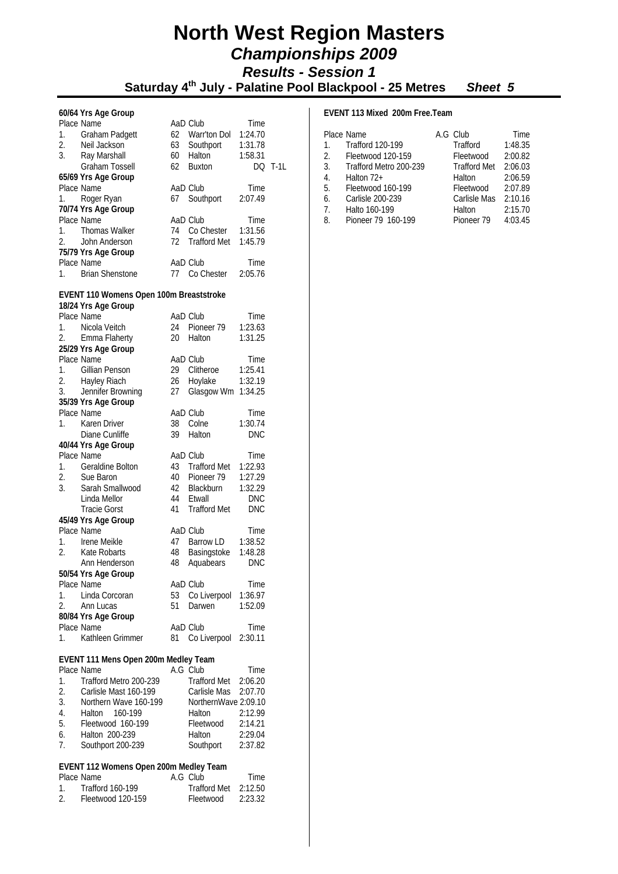#### **North West Region Masters**   *Championships 2009 Results - Session 1*   **Saturday 4th July - Palatine Pool Blackpool - 25 Metres** *Sheet 5*

### **60/64 Yrs Age Group**

|    | 60/64 Yrs Age Group                     |    |                     |            |                |
|----|-----------------------------------------|----|---------------------|------------|----------------|
|    | Place Name                              |    | AaD Club            | Time       |                |
| 1. | Graham Padgett                          |    | 62 Warr'ton Dol     | 1:24.70    |                |
| 2. | Neil Jackson                            | 63 | Southport           | 1:31.78    |                |
| 3. | Ray Marshall                            | 60 | Halton              | 1:58.31    |                |
|    | Graham Tossell                          | 62 | <b>Buxton</b>       |            | <b>DQ T-1L</b> |
|    |                                         |    |                     |            |                |
|    | 65/69 Yrs Age Group                     |    |                     |            |                |
|    | Place Name                              |    | AaD Club            | Time       |                |
| 1. | Roger Ryan                              | 67 | Southport           | 2:07.49    |                |
|    | 70/74 Yrs Age Group                     |    |                     |            |                |
|    | Place Name                              |    | AaD Club            | Time       |                |
| 1. | <b>Thomas Walker</b>                    | 74 | Co Chester          | 1:31.56    |                |
| 2. | John Anderson                           | 72 | <b>Trafford Met</b> | 1:45.79    |                |
|    | 75/79 Yrs Age Group                     |    |                     |            |                |
|    | Place Name                              |    | AaD Club            | Time       |                |
|    |                                         |    |                     |            |                |
| 1. | <b>Brian Shenstone</b>                  | 77 | Co Chester          | 2:05.76    |                |
|    | EVENT 110 Womens Open 100m Breaststroke |    |                     |            |                |
|    | 18/24 Yrs Age Group                     |    |                     |            |                |
|    | Place Name                              |    | AaD Club            | Time       |                |
| 1. | Nicola Veitch                           | 24 | Pioneer 79          | 1:23.63    |                |
|    |                                         |    |                     |            |                |
| 2. | Emma Flaherty                           | 20 | Halton              | 1:31.25    |                |
|    | 25/29 Yrs Age Group                     |    |                     |            |                |
|    | Place Name                              |    | AaD Club            | Time       |                |
| 1. | Gillian Penson                          | 29 | Clitheroe           | 1:25.41    |                |
| 2. | Hayley Riach                            | 26 | Hoylake             | 1:32.19    |                |
| 3. | Jennifer Browning                       | 27 | Glasgow Wm 1:34.25  |            |                |
|    | 35/39 Yrs Age Group                     |    |                     |            |                |
|    | Place Name                              |    | AaD Club            | Time       |                |
| 1. | Karen Driver                            | 38 | Colne               | 1:30.74    |                |
|    |                                         | 39 |                     |            |                |
|    | Diane Cunliffe                          |    | Halton              | <b>DNC</b> |                |
|    | 40/44 Yrs Age Group                     |    |                     |            |                |
|    | Place Name                              |    | AaD Club            | Time       |                |
| 1. | Geraldine Bolton                        | 43 | <b>Trafford Met</b> | 1:22.93    |                |
| 2. | Sue Baron                               | 40 | Pioneer 79          | 1:27.29    |                |
| 3. | Sarah Smallwood                         |    | 42 Blackburn        | 1:32.29    |                |
|    | Linda Mellor                            | 44 | Etwall              | <b>DNC</b> |                |
|    | <b>Tracie Gorst</b>                     | 41 | <b>Trafford Met</b> | <b>DNC</b> |                |
|    | 45/49 Yrs Age Group                     |    |                     |            |                |
|    | Place Name                              |    | AaD Club            | Time       |                |
|    | Irene Meikle                            | 47 | Barrow LD           |            |                |
| 1. |                                         |    |                     | 1:38.52    |                |
| 2. | Kate Robarts                            | 48 | Basingstoke         | 1:48.28    |                |
|    | Ann Henderson                           | 48 | Aquabears           | <b>DNC</b> |                |
|    | 50/54 Yrs Age Group                     |    |                     |            |                |
|    | Place Name                              |    | AaD Club            | Time       |                |
| 1. | Linda Corcoran                          | 53 | Co Liverpool        | 1:36.97    |                |
| 2. | Ann Lucas                               | 51 | Darwen              | 1:52.09    |                |
|    | 80/84 Yrs Age Group                     |    |                     |            |                |
|    | Place Name                              |    | AaD Club            | Time       |                |
| 1. | Kathleen Grimmer                        | 81 | Co Liverpool        | 2:30.11    |                |
|    |                                         |    |                     |            |                |
|    | EVENT 111 Mens Open 200m Medley Team    |    |                     |            |                |
|    | Place Name                              |    | A.G Club            | Time       |                |
|    |                                         |    |                     |            |                |

|                  | Place Name             | A.G Club             | Time    |
|------------------|------------------------|----------------------|---------|
| $\mathbf{1}$ .   | Trafford Metro 200-239 | Trafford Met 2:06.20 |         |
| 2.               | Carlisle Mast 160-199  | Carlisle Mas 2:07.70 |         |
| 3.               | Northern Wave 160-199  | NorthernWave 2:09.10 |         |
| $\overline{4}$ . | Halton 160-199         | Halton               | 2:12.99 |
| .5.              | Fleetwood 160-199      | Fleetwood            | 2:14.21 |
| 6.               | Halton 200-239         | Halton               | 2:29.04 |
| 7 <sub>1</sub>   | Southport 200-239      | Southport            | 2:37.82 |
|                  |                        |                      |         |

#### **EVENT 112 Womens Open 200m Medley Team**

|           | Place Name        | A.G Club               | Time.   |
|-----------|-------------------|------------------------|---------|
| $1 \quad$ | Trafford 160-199  | Trafford Met $2:12.50$ |         |
| $2^{1}$   | Fleetwood 120-159 | Fleetwood              | 2:23.32 |

#### **EVENT 113 Mixed 200m Free.Team**

|    | Place Name              | A.G Club            | Time    |
|----|-------------------------|---------------------|---------|
| 1. | <b>Trafford 120-199</b> | Trafford            | 1:48.35 |
| 2. | Fleetwood 120-159       | Fleetwood           | 2:00.82 |
| 3. | Trafford Metro 200-239  | <b>Trafford Met</b> | 2:06.03 |
| 4. | Halton 72+              | Halton              | 2:06.59 |
| 5. | Fleetwood 160-199       | Fleetwood           | 2:07.89 |
| 6. | Carlisle 200-239        | Carlisle Mas        | 2:10.16 |
| 7. | Halto 160-199           | Halton              | 2:15.70 |
| 8. | Pioneer 79 160-199      | Pioneer 79          | 4:03.45 |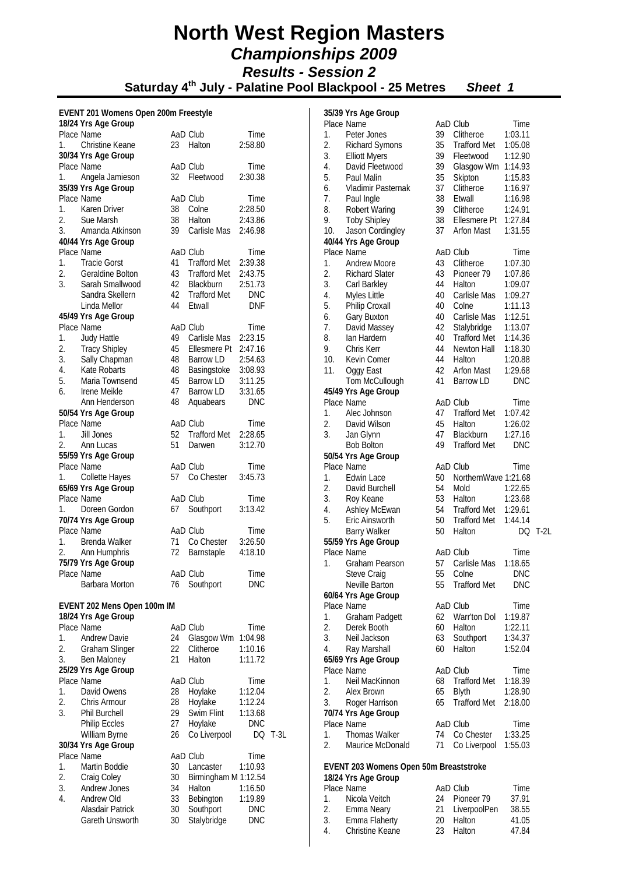Saturday 4<sup>th</sup> July - Palatine Pool Blackpool - 25 Metres Sheet 1

#### **EVENT 201 Womens Open 200m Freestyle**

|    | 18/24 Yrs Age Group                 |          |                          |                          |        |
|----|-------------------------------------|----------|--------------------------|--------------------------|--------|
|    | Place Name                          |          | AaD Club                 | Time                     |        |
| 1. | Christine Keane                     |          | 23 Halton                | 2:58.80                  |        |
|    | 30/34 Yrs Age Group                 |          |                          |                          |        |
|    | Place Name                          |          | AaD Club                 | Time                     |        |
| 1. | Angela Jamieson                     | 32       | Fleetwood                | 2:30.38                  |        |
|    | 35/39 Yrs Age Group                 |          |                          |                          |        |
|    | Place Name                          |          | AaD Club                 | Time                     |        |
| 1. | Karen Driver                        |          | 38 Colne                 | 2:28.50                  |        |
| 2. | Sue Marsh                           |          | 38 Halton                | 2:43.86                  |        |
| 3. | Amanda Atkinson                     |          | 39 Carlisle Mas          | 2:46.98                  |        |
|    |                                     |          |                          |                          |        |
|    | 40/44 Yrs Age Group<br>Place Name   |          | AaD Club                 |                          |        |
|    |                                     |          |                          | Time                     |        |
| 1. | <b>Tracie Gorst</b>                 |          | 41 Trafford Met          | 2:39.38                  |        |
| 2. | Geraldine Bolton                    |          | 43 Trafford Met          | 2:43.75                  |        |
| 3. | Sarah Smallwood                     |          | 42 Blackburn             | 2:51.73                  |        |
|    | Sandra Skellern                     |          | 42 Trafford Met          | <b>DNC</b>               |        |
|    | Linda Mellor                        |          | 44 Etwall                | <b>DNF</b>               |        |
|    | 45/49 Yrs Age Group                 |          |                          |                          |        |
|    | Place Name                          |          | AaD Club                 | Time                     |        |
| 1. | Judy Hattle                         |          | 49 Carlisle Mas          | 2:23.15                  |        |
| 2. | <b>Tracy Shipley</b>                | 45       | Ellesmere Pt             | 2:47.16                  |        |
| 3. | Sally Chapman                       |          | 48 Barrow LD             | 2:54.63                  |        |
| 4. | Kate Robarts                        | 48       | Basingstoke 3:08.93      |                          |        |
| 5. | Maria Townsend                      | 45       | Barrow LD                | 3:11.25                  |        |
| 6. | Irene Meikle                        | 47       | <b>Barrow LD</b>         | 3:31.65                  |        |
|    | Ann Henderson                       | 48       |                          | <b>DNC</b>               |        |
|    |                                     |          | Aquabears                |                          |        |
|    | 50/54 Yrs Age Group                 |          |                          |                          |        |
|    | Place Name                          |          | AaD Club                 | Time                     |        |
|    | 1. Jill Jones                       | 52       | Trafford Met             | 2:28.65                  |        |
| 2. | Ann Lucas                           | 51       | Darwen                   | 3:12.70                  |        |
|    | 55/59 Yrs Age Group                 |          |                          |                          |        |
|    | Place Name                          |          | AaD Club                 | Time                     |        |
| 1. | Collette Hayes                      |          | 57 Co Chester            | 3:45.73                  |        |
|    | 65/69 Yrs Age Group                 |          |                          |                          |        |
|    | Place Name                          |          | AaD Club                 | Time                     |        |
| 1. | Doreen Gordon                       | 67       | Southport                | 3:13.42                  |        |
|    | 70/74 Yrs Age Group                 |          |                          |                          |        |
|    | Place Name                          |          | AaD Club                 | Time                     |        |
| 1. | Brenda Walker                       | 71       | Co Chester               | 3:26.50                  |        |
| 2. | Ann Humphris                        | 72       | Barnstaple               | 4:18.10                  |        |
|    | 75/79 Yrs Age Group                 |          |                          |                          |        |
|    | Place Name                          |          | AaD Club                 |                          |        |
|    |                                     |          |                          | Time                     |        |
|    | Barbara Morton                      |          | 76 Southport             | DNC                      |        |
|    |                                     |          |                          |                          |        |
|    | EVENT 202 Mens Open 100m IM         |          |                          |                          |        |
|    | 18/24 Yrs Age Group                 |          |                          |                          |        |
|    | Place Name                          |          | AaD Club                 | Time                     |        |
| 1. | <b>Andrew Davie</b>                 | 24       | Glasgow Wm               | 1:04.98                  |        |
| 2. | Graham Slinger                      | 22       | Clitheroe                | 1:10.16                  |        |
| 3. | Ben Maloney                         | 21       | Halton                   | 1:11.72                  |        |
|    | 25/29 Yrs Age Group                 |          |                          |                          |        |
|    | Place Name                          |          | AaD Club                 | Time                     |        |
| 1. | David Owens                         | 28       | Hoylake                  | 1:12.04                  |        |
| 2. | Chris Armour                        | 28       | Hoylake                  | 1:12.24                  |        |
| 3. | <b>Phil Burchell</b>                | 29       | Swim Flint               | 1:13.68                  |        |
|    | Philip Eccles                       | 27       | Hoylake                  | <b>DNC</b>               |        |
|    | William Byrne                       | 26       | Co Liverpool             | DQ                       | $T-3L$ |
|    | 30/34 Yrs Age Group                 |          |                          |                          |        |
|    | Place Name                          |          | AaD Club                 | Time                     |        |
| 1. |                                     |          |                          |                          |        |
| 2. | Martin Boddie                       | 30       | Lancaster                | 1:10.93                  |        |
|    | Craig Coley                         | 30       | Birmingham M 1:12.54     |                          |        |
| 3. | <b>Andrew Jones</b>                 | 34       | Halton                   | 1:16.50                  |        |
| 4. | Andrew Old                          | 33       | Bebington                | 1:19.89                  |        |
|    |                                     |          |                          |                          |        |
|    | Alasdair Patrick<br>Gareth Unsworth | 30<br>30 | Southport<br>Stalybridge | <b>DNC</b><br><b>DNC</b> |        |

|          | 35/39 Yrs Age Group<br>Place Name       |          | AaD Club                         | Time               |        |
|----------|-----------------------------------------|----------|----------------------------------|--------------------|--------|
| 1.       | Peter Jones                             | 39       | Clitheroe                        | 1:03.11            |        |
| 2.       |                                         | 35       | <b>Trafford Met</b>              |                    |        |
| 3.       | <b>Richard Symons</b>                   | 39       | Fleetwood                        | 1:05.08<br>1:12.90 |        |
| 4.       | <b>Elliott Myers</b><br>David Fleetwood | 39       |                                  |                    |        |
| 5.       | Paul Malin                              | 35       | Glasgow Wm 1:14.93               |                    |        |
|          | Vladimir Pasternak                      | 37       | Skipton<br>Clitheroe             | 1:15.83            |        |
| 6.<br>7. |                                         | 38       |                                  | 1:16.97            |        |
| 8.       | Paul Ingle<br>Robert Waring             | 39       | Etwall<br>Clitheroe              | 1:16.98            |        |
| 9.       |                                         | 38       | Ellesmere Pt                     | 1:24.91<br>1:27.84 |        |
|          | <b>Toby Shipley</b><br>Jason Cordingley | 37       | Arfon Mast                       | 1:31.55            |        |
| 10.      |                                         |          |                                  |                    |        |
|          | 40/44 Yrs Age Group<br>Place Name       |          | AaD Club                         |                    |        |
| 1.       | <b>Andrew Moore</b>                     | 43       | Clitheroe                        | Time<br>1:07.30    |        |
| 2.       | <b>Richard Slater</b>                   | 43       | Pioneer 79                       | 1:07.86            |        |
| 3.       |                                         | 44       |                                  | 1:09.07            |        |
|          | Carl Barkley                            | 40       | Halton                           |                    |        |
| 4.<br>5. | Myles Little                            | 40       | Carlisle Mas<br>Colne            | 1:09.27            |        |
| 6.       | Philip Croxall                          | 40       | Carlisle Mas                     | 1:11.13            |        |
| 7.       | Gary Buxton                             | 42       | Stalybridge                      | 1:12.51<br>1:13.07 |        |
| 8.       | David Massey<br>lan Hardern             | 40       | <b>Trafford Met</b>              |                    |        |
| 9.       | Chris Kerr                              | 44       |                                  | 1:14.36            |        |
| 10.      | Kevin Comer                             | 44       | Newton Hall 1:18.30              | 1:20.88            |        |
| 11.      |                                         | 42       | Halton<br>Arfon Mast             | 1:29.68            |        |
|          | Oggy East                               |          |                                  |                    |        |
|          | Tom McCullough                          | 41       | Barrow LD                        | <b>DNC</b>         |        |
|          | 45/49 Yrs Age Group                     |          |                                  |                    |        |
|          | Place Name                              |          | AaD Club                         | Time               |        |
| 1.       | Alec Johnson                            | 47       | <b>Trafford Met</b>              | 1:07.42            |        |
| 2.<br>3. | David Wilson                            | 45<br>47 | Halton                           | 1:26.02            |        |
|          | Jan Glynn                               | 49       | Blackburn                        | 1:27.16            |        |
|          | <b>Bob Bolton</b>                       |          | <b>Trafford Met</b>              | <b>DNC</b>         |        |
|          | 50/54 Yrs Age Group                     |          |                                  |                    |        |
| 1.       | Place Name<br>Edwin Lace                | 50       | AaD Club<br>NorthernWave 1:21.68 | Time               |        |
| 2.       | David Burchell                          | 54       | Mold                             | 1:22.65            |        |
| 3.       |                                         |          | Halton                           | 1:23.68            |        |
| 4.       | Roy Keane<br>Ashley McEwan              | 53       | 54 Trafford Met                  | 1:29.61            |        |
| 5.       | Eric Ainsworth                          | 50       | <b>Trafford Met</b>              | 1:44.14            |        |
|          | <b>Barry Walker</b>                     | 50       | Halton                           | DQ                 | $T-2L$ |
|          | 55/59 Yrs Age Group                     |          |                                  |                    |        |
|          | Place Name                              |          | AaD Club                         | Time               |        |
|          | 1. Graham Pearson                       |          | 57 Carlisle Mas                  | 1:18.65            |        |
|          | Steve Craig                             | 55       | Colne                            | DNC                |        |
|          | Neville Barton                          | 55       | <b>Trafford Met</b>              | <b>DNC</b>         |        |
|          | 60/64 Yrs Age Group                     |          |                                  |                    |        |
|          | Place Name                              |          | AaD Club                         | Time               |        |
| 1.       | Graham Padgett                          | 62       | Warr'ton Dol 1:19.87             |                    |        |
| 2.       | Derek Booth                             | 60       | Halton                           | 1:22.11            |        |
| 3.       | Neil Jackson                            |          | 63 Southport                     | 1:34.37            |        |
| 4.       | Ray Marshall                            | 60       | Halton                           | 1:52.04            |        |
|          | 65/69 Yrs Age Group                     |          |                                  |                    |        |
|          | Place Name                              |          | AaD Club                         | Time               |        |
| 1.       | Neil MacKinnon                          | 68       | Trafford Met                     | 1:18.39            |        |
| 2.       | Alex Brown                              |          | 65 Blyth                         | 1:28.90            |        |
|          | 3. Roger Harrison                       | 65       | <b>Trafford Met</b>              | 2:18.00            |        |
|          | 70/74 Yrs Age Group                     |          |                                  |                    |        |
|          | Place Name                              |          | AaD Club                         | Time               |        |
| 1.       | <b>Thomas Walker</b>                    | 74       | Co Chester                       | 1:33.25            |        |
| 2.       | Maurice McDonald                        | 71       | Co Liverpool                     | 1:55.03            |        |
|          |                                         |          |                                  |                    |        |
|          | EVENT 203 Womens Open 50m Breaststroke  |          |                                  |                    |        |
|          | 18/24 Yrs Age Group                     |          |                                  |                    |        |
|          | Place Name                              |          | AaD Club                         | Time               |        |
|          | Nicola Voitab                           |          | $24$ Dianos<br>70                | 27.O1              |        |

|    | Place Name       | aad Ciud        | Time  |
|----|------------------|-----------------|-------|
|    | 1. Nicola Veitch | 24 Pioneer 79   | 37.91 |
| 2. | Emma Neary       | 21 LiverpoolPen | 38.55 |
| 3. | Emma Flaherty    | 20 Halton       | 41.05 |
| 4. | Christine Keane  | 23 Halton       | 47.84 |
|    |                  |                 |       |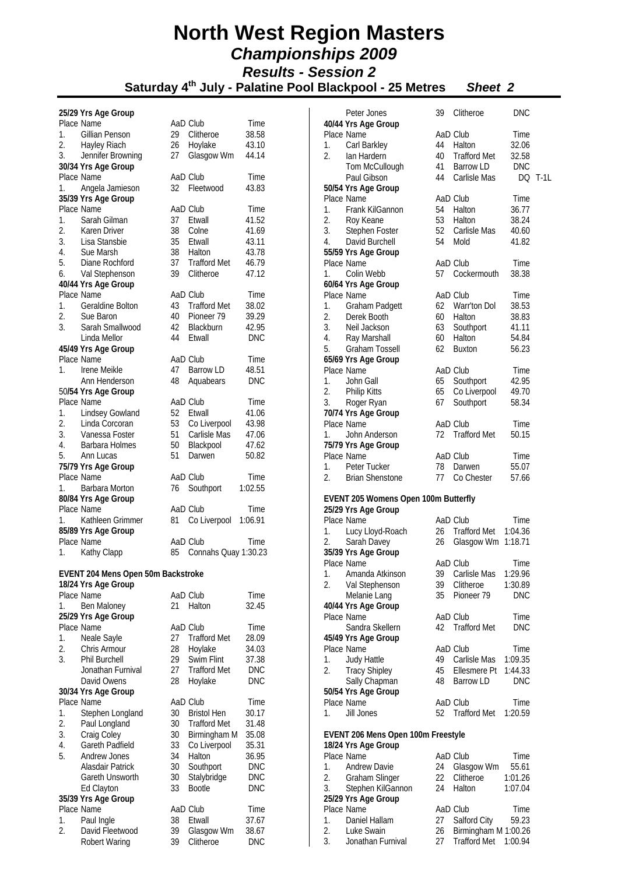|                  | 25/29 Yrs Age Group                 |          |                              |                          |
|------------------|-------------------------------------|----------|------------------------------|--------------------------|
|                  | Place Name                          |          | AaD Club                     | Time                     |
| 1.               | Gillian Penson                      | 29       | Clitheroe                    | 38.58                    |
| 2.               | Hayley Riach                        | 26       | Hoylake                      | 43.10                    |
| 3.               | Jennifer Browning                   | 27       | Glasgow Wm                   | 44.14                    |
|                  | 30/34 Yrs Age Group                 |          |                              |                          |
|                  | Place Name                          |          | AaD Club                     | Time                     |
| 1.               | Angela Jamieson                     | 32       | Fleetwood                    | 43.83                    |
|                  | 35/39 Yrs Age Group                 |          |                              |                          |
|                  | Place Name                          |          | AaD Club                     | Time                     |
| 1.               | Sarah Gilman                        | 37       | Etwall                       | 41.52                    |
| 2.               | Karen Driver                        | 38       | Colne                        | 41.69                    |
| 3.<br>4.         | Lisa Stansbie                       |          | 35 Etwall<br>38 Halton       | 43.11                    |
| 5.               | Sue Marsh<br>Diane Rochford         | 37       | <b>Trafford Met</b>          | 43.78<br>46.79           |
| 6.               | Val Stephenson                      | 39       | Clitheroe                    | 47.12                    |
|                  | 40/44 Yrs Age Group                 |          |                              |                          |
|                  | Place Name                          |          | AaD Club                     | Time                     |
| 1.               | <b>Geraldine Bolton</b>             | 43       | <b>Trafford Met</b>          | 38.02                    |
| 2.               | Sue Baron                           |          | Pioneer 79                   | 39.29                    |
| 3.               | Sarah Smallwood                     | 40<br>42 | Blackburn                    | 42.95                    |
|                  | Linda Mellor                        | 44       | Etwall                       | <b>DNC</b>               |
|                  | 45/49 Yrs Age Group                 |          |                              |                          |
|                  | Place Name                          |          | AaD Club                     | Time                     |
| 1.               | Irene Meikle                        | 47       | <b>Barrow LD</b>             | 48.51                    |
|                  | Ann Henderson                       | 48       | Aquabears                    | <b>DNC</b>               |
|                  | 50/54 Yrs Age Group                 |          |                              |                          |
|                  | Place Name                          |          | AaD Club                     | Time                     |
| 1.               | Lindsey Gowland                     | 52       | Etwall                       | 41.06                    |
| 2.               | Linda Corcoran                      | 53       | Co Liverpool                 | 43.98                    |
| 3.               | Vanessa Foster                      | 51<br>50 | Carlisle Mas                 | 47.06                    |
| 4.               | Barbara Holmes                      |          | Blackpool                    | 47.62                    |
| 5.               | Ann Lucas                           | 51       | Darwen                       | 50.82                    |
|                  | 75/79 Yrs Age Group                 |          |                              |                          |
|                  | Place Name                          |          | AaD Club                     | Time                     |
| 1.               | Barbara Morton                      | 76       | Southport                    | 1:02.55                  |
|                  | 80/84 Yrs Age Group<br>Place Name   |          | AaD Club                     | <b>Time</b>              |
| 1.               | Kathleen Grimmer                    | 81       | Co Liverpool                 | 1:06.91                  |
|                  | 85/89 Yrs Age Group                 |          |                              |                          |
|                  | Place Name                          |          | AaD Club                     | Time                     |
| 1.               | Kathy Clapp                         | 85       | Connahs Quay 1:30.23         |                          |
|                  |                                     |          |                              |                          |
|                  | EVENT 204 Mens Open 50m Backstroke  |          |                              |                          |
|                  | 18/24 Yrs Age Group                 |          |                              |                          |
|                  | Place Name                          |          | AaD Club                     | Time                     |
| 1.               | Ben Maloney                         | 21       | Halton                       | 32.45                    |
|                  | 25/29 Yrs Age Group                 |          |                              |                          |
|                  | Place Name                          |          | AaD Club                     | Time                     |
| 1.               | Neale Sayle                         | 27       | <b>Trafford Met</b>          | 28.09                    |
| 2.               | Chris Armour                        | 28       | Hoylake                      | 34.03                    |
| 3.               | <b>Phil Burchell</b>                | 29       | Swim Flint                   | 37.38                    |
|                  | Jonathan Furnival                   | 27       | <b>Trafford Met</b>          | <b>DNC</b>               |
|                  | David Owens                         | 28       | Hoylake                      | <b>DNC</b>               |
|                  | 30/34 Yrs Age Group                 |          |                              |                          |
| 1.               |                                     |          |                              |                          |
|                  | Place Name                          |          | AaD Club                     | Time                     |
|                  | Stephen Longland                    | 30       | <b>Bristol Hen</b>           | 30.17                    |
| 2.               | Paul Longland                       | 30       | <b>Trafford Met</b>          | 31.48                    |
| 3.               | Craig Coley                         | 30       | Birmingham M                 | 35.08                    |
| 4.               | <b>Gareth Padfield</b>              | 33       | Co Liverpool                 | 35.31                    |
| 5.               | <b>Andrew Jones</b>                 | 34       | Halton                       | 36.95                    |
|                  | Alasdair Patrick<br>Gareth Unsworth | 30       | Southport                    | <b>DNC</b>               |
|                  |                                     | 30<br>33 | Stalybridge<br><b>Bootle</b> | <b>DNC</b><br><b>DNC</b> |
|                  | Ed Clayton<br>35/39 Yrs Age Group   |          |                              |                          |
|                  | Place Name                          |          | AaD Club                     | Time                     |
| 1.               | Paul Ingle                          | 38       | Etwall                       | 37.67                    |
| $\overline{2}$ . | David Fleetwood<br>Robert Waring    | 39<br>39 | Glasgow Wm<br>Clitheroe      | 38.67<br><b>DNC</b>      |

|          | Peter Jones                          | 39   | Clitheroe            | <b>DNC</b>     |        |
|----------|--------------------------------------|------|----------------------|----------------|--------|
|          | 40/44 Yrs Age Group                  |      |                      |                |        |
|          | Place Name                           |      | AaD Club             | Time           |        |
| 1.       | Carl Barkley                         | 44   | Halton               | 32.06          |        |
| 2.       | lan Hardern                          | 40   | <b>Trafford Met</b>  | 32.58          |        |
|          | Tom McCullough                       | 41   | Barrow LD            | <b>DNC</b>     |        |
|          | Paul Gibson                          | 44   | Carlisle Mas         | DQ             | $T-1L$ |
|          | 50/54 Yrs Age Group                  |      |                      |                |        |
|          | Place Name                           |      | AaD Club             | Time           |        |
| 1.<br>2. | Frank KilGannon<br>Roy Keane         | 53   | 54 Halton<br>Halton  | 36.77<br>38.24 |        |
| 3.       | Stephen Foster                       |      | 52 Carlisle Mas      | 40.60          |        |
| 4.       | David Burchell                       | 54   | Mold                 | 41.82          |        |
|          | 55/59 Yrs Age Group                  |      |                      |                |        |
|          | Place Name                           |      | AaD Club             | Time           |        |
| 1.       | Colin Webb                           | 57   | Cockermouth          | 38.38          |        |
|          | 60/64 Yrs Age Group                  |      |                      |                |        |
|          | Place Name                           |      | AaD Club             | Time           |        |
| 1.       | Graham Padgett                       |      | 62 Warr'ton Dol      | 38.53          |        |
| 2.       | Derek Booth                          |      | 60 Halton            | 38.83          |        |
| 3.       | Neil Jackson                         |      | 63 Southport         | 41.11          |        |
| 4.       | Ray Marshall                         | 60   | Halton               | 54.84          |        |
| 5.       | Graham Tossell                       |      | 62 Buxton            | 56.23          |        |
|          | 65/69 Yrs Age Group                  |      |                      |                |        |
|          | Place Name                           |      | AaD Club             | Time           |        |
| 1.       | John Gall                            | 65   | Southport            | 42.95          |        |
| 2.       | <b>Philip Kitts</b>                  | 65   | Co Liverpool         | 49.70          |        |
| 3.       | Roger Ryan                           | 67   | Southport            | 58.34          |        |
|          | 70/74 Yrs Age Group<br>Place Name    |      | AaD Club             |                |        |
| 1.       | John Anderson                        | 72   | <b>Trafford Met</b>  | Time<br>50.15  |        |
|          | 75/79 Yrs Age Group                  |      |                      |                |        |
|          | Place Name                           |      | AaD Club             | Time           |        |
| 1.       | Peter Tucker                         | 78   | Darwen               | 55.07          |        |
| 2.       | <b>Brian Shenstone</b>               | 77   | Co Chester           | 57.66          |        |
|          |                                      |      |                      |                |        |
|          | EVENT 205 Womens Open 100m Butterfly |      |                      |                |        |
|          | 25/29 Yrs Age Group                  |      |                      |                |        |
|          | Place Name                           |      | AaD Club             | Time           |        |
| 1.       | Lucy Lloyd-Roach                     |      | 26 Trafford Met      | 1:04.36        |        |
| 2.       | Sarah Davey<br>35/39 Yrs Age Group   | 26   | Glasgow Wm           | 1:18.71        |        |
|          | Place Name                           |      | AaD Club             | Time           |        |
| 1.       | Amanda Atkinson                      | 39   | Carlisle Mas         | 1:29.96        |        |
| 2.       | Val Stephenson                       | 39   | Clitheroe            | 1:30.89        |        |
|          | Melanie Lang                         | 35   | Pioneer 79           | DNC            |        |
|          | 40/44 Yrs Age Group                  |      |                      |                |        |
|          | Place Name                           |      | AaD Club             | Time           |        |
|          | Sandra Skellern                      | 42   | <b>Trafford Met</b>  | <b>DNC</b>     |        |
|          | 45/49 Yrs Age Group                  |      |                      |                |        |
|          | Place Name                           |      | AaD Club             | Time           |        |
| 1.       | Judy Hattle                          |      | 49 Carlisle Mas      | 1:09.35        |        |
| 2.       | <b>Tracy Shipley</b>                 | 45   | Ellesmere Pt         | 1:44.33        |        |
|          | Sally Chapman                        | 48   | Barrow LD            | <b>DNC</b>     |        |
|          | 50/54 Yrs Age Group                  |      |                      |                |        |
|          | Place Name                           |      | AaD Club             | Time           |        |
| 1.       | Jill Jones                           | 52   | <b>Trafford Met</b>  | 1:20.59        |        |
|          | EVENT 206 Mens Open 100m Freestyle   |      |                      |                |        |
|          | 18/24 Yrs Age Group                  |      |                      |                |        |
|          | Place Name                           |      | AaD Club             | Time           |        |
| 1.       | <b>Andrew Davie</b>                  | 24 - | Glasgow Wm           | 55.61          |        |
| 2.       | Graham Slinger                       | 22   | Clitheroe            | 1:01.26        |        |
| 3.       | Stephen KilGannon                    | 24   | Halton               | 1:07.04        |        |
|          | 25/29 Yrs Age Group<br>Place Name    |      | AaD Club             | Time           |        |
| 1.       | Daniel Hallam                        | 27   | Salford City         | 59.23          |        |
| 2.       | Luke Swain                           | 26   | Birmingham M 1:00.26 |                |        |
| 3.       | Jonathan Furnival                    | 27   | Trafford Met 1:00.94 |                |        |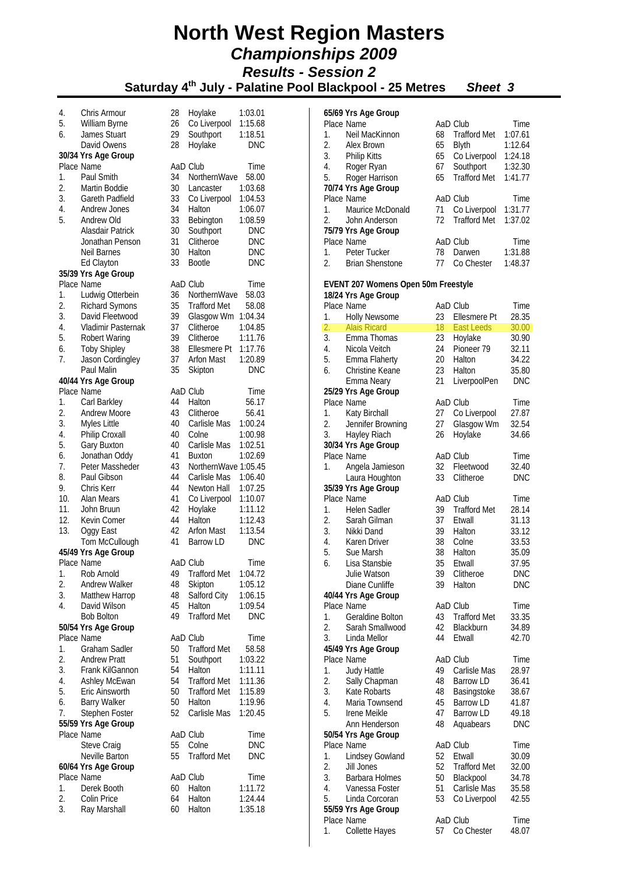**Saturday 4th July - Palatine Pool Blackpool - 25 Metres** *Sheet 3*

| 4.  | Chris Armour                      | 28 | Hoylake                 | 1:03.01            |
|-----|-----------------------------------|----|-------------------------|--------------------|
| 5.  | William Byrne                     | 26 | Co Liverpool            | 1:15.68            |
| 6.  | James Stuart                      | 29 | Southport               | 1:18.51            |
|     | David Owens                       | 28 | Hoylake                 | <b>DNC</b>         |
|     | 30/34 Yrs Age Group               |    |                         |                    |
|     | Place Name                        |    | AaD Club                | Time               |
| 1.  | Paul Smith                        | 34 | NorthernWave            | 58.00              |
| 2.  | Martin Boddie                     | 30 | Lancaster               | 1:03.68            |
| 3.  | <b>Gareth Padfield</b>            | 33 | Co Liverpool            | 1:04.53            |
| 4.  | Andrew Jones                      | 34 | Halton                  | 1:06.07            |
| 5.  | Andrew Old                        | 33 | Bebington               | 1:08.59            |
|     | Alasdair Patrick                  | 30 | Southport               | <b>DNC</b>         |
|     | Jonathan Penson                   | 31 | Clitheroe               | <b>DNC</b>         |
|     | Neil Barnes                       | 30 | Halton                  | <b>DNC</b>         |
|     | Ed Clayton                        | 33 | Bootle                  | <b>DNC</b>         |
|     | 35/39 Yrs Age Group               |    |                         |                    |
|     | Place Name                        |    | AaD Club                | Time               |
| 1.  | Ludwig Otterbein                  | 36 | NorthernWave            | 58.03              |
| 2.  | <b>Richard Symons</b>             | 35 | <b>Trafford Met</b>     | 58.08              |
| 3.  | David Fleetwood                   | 39 |                         |                    |
| 4.  | Vladimir Pasternak                | 37 | Glasgow Wm<br>Clitheroe | 1:04.34<br>1:04.85 |
| 5.  |                                   | 39 |                         |                    |
|     | <b>Robert Waring</b>              |    | Clitheroe               | 1:11.76            |
| 6.  | <b>Toby Shipley</b>               | 38 | Ellesmere Pt            | 1:17.76            |
| 7.  | Jason Cordingley                  | 37 | <b>Arfon Mast</b>       | 1:20.89            |
|     | Paul Malin                        | 35 | Skipton                 | <b>DNC</b>         |
|     | 40/44 Yrs Age Group               |    |                         |                    |
|     | Place Name                        |    | AaD Club                | Time               |
| 1.  | Carl Barkley                      | 44 | Halton                  | 56.17              |
| 2.  | <b>Andrew Moore</b>               | 43 | Clitheroe               | 56.41              |
| 3.  | Myles Little                      | 40 | Carlisle Mas            | 1:00.24            |
| 4.  | Philip Croxall                    | 40 | Colne                   | 1:00.98            |
| 5.  | Gary Buxton                       | 40 | Carlisle Mas            | 1:02.51            |
| 6.  | Jonathan Oddy                     | 41 | Buxton                  | 1:02.69            |
| 7.  | Peter Massheder                   | 43 | NorthernWave 1:05.45    |                    |
| 8.  | Paul Gibson                       | 44 | Carlisle Mas            | 1:06.40            |
| 9.  | Chris Kerr                        | 44 | Newton Hall             | 1:07.25            |
| 10. | Alan Mears                        | 41 | Co Liverpool            | 1:10.07            |
| 11. | John Bruun                        | 42 | Hoylake                 | 1:11.12            |
| 12. | Kevin Comer                       | 44 | Halton                  | 1:12.43            |
| 13. | Oggy East                         | 42 | <b>Arfon Mast</b>       | 1:13.54            |
|     | Tom McCullough                    | 41 | Barrow LD               | <b>DNC</b>         |
|     | 45/49 Yrs Age Group               |    |                         |                    |
|     | Place Name                        |    | AaD Club                | Time               |
| 1.  | Rob Arnold                        | 49 | <b>Trafford Met</b>     | 1:04.72            |
| 2.  | <b>Andrew Walker</b>              | 48 | Skipton                 | 1:05.12            |
| 3.  | Matthew Harrop                    | 48 | Salford City            | 1:06.15            |
| 4.  | David Wilson                      | 45 | Halton                  | 1:09.54            |
|     | <b>Bob Bolton</b>                 | 49 | <b>Trafford Met</b>     | <b>DNC</b>         |
|     |                                   |    |                         |                    |
|     | 50/54 Yrs Age Group<br>Place Name |    | AaD Club                |                    |
|     |                                   |    |                         | Time               |
| 1.  | <b>Graham Sadler</b>              | 50 | <b>Trafford Met</b>     | 58.58              |
| 2.  | <b>Andrew Pratt</b>               | 51 | Southport               | 1:03.22            |
| 3.  | Frank KilGannon                   | 54 | Halton                  | 1:11.11            |
| 4.  | Ashley McEwan                     | 54 | <b>Trafford Met</b>     | 1:11.36            |
| 5.  | Eric Ainsworth                    | 50 | <b>Trafford Met</b>     | 1:15.89            |
| 6.  | <b>Barry Walker</b>               | 50 | Halton                  | 1:19.96            |
| 7.  | Stephen Foster                    | 52 | Carlisle Mas            | 1:20.45            |
|     | 55/59 Yrs Age Group               |    |                         |                    |
|     | Place Name                        |    | AaD Club                | Time               |
|     | Steve Craig                       | 55 | Colne                   | <b>DNC</b>         |
|     | Neville Barton                    | 55 | <b>Trafford Met</b>     | <b>DNC</b>         |
|     | 60/64 Yrs Age Group               |    |                         |                    |
|     | Place Name                        |    | AaD Club                | Time               |
| 1.  | Derek Booth                       | 60 | Halton                  | 1:11.72            |
| 2.  | Colin Price                       | 64 | Halton                  | 1:24.44            |
| 3.  | Ray Marshall                      | 60 | Halton                  | 1:35.18            |

|          | 65/69 Yrs Age Group                 |                 |                     |             |
|----------|-------------------------------------|-----------------|---------------------|-------------|
|          | Place Name                          |                 | AaD Club            | Time        |
| 1.       | Neil MacKinnon                      | 68              | <b>Trafford Met</b> | 1:07.61     |
| 2.       | Alex Brown                          | 65              | <b>Blyth</b>        | 1:12.64     |
| 3.       | <b>Philip Kitts</b>                 | 65              | Co Liverpool        | 1:24.18     |
| 4.       | Roger Ryan                          | 67              | Southport           | 1:32.30     |
| 5.       | Roger Harrison                      | 65              | <b>Trafford Met</b> | 1:41.77     |
|          | 70/74 Yrs Age Group                 |                 |                     |             |
|          | Place Name                          |                 | AaD Club            | Time        |
| 1.       | Maurice McDonald                    | 71              | Co Liverpool        | 1:31.77     |
| 2.       | John Anderson                       | 72              | <b>Trafford Met</b> | 1:37.02     |
|          | 75/79 Yrs Age Group                 |                 |                     |             |
|          | Place Name                          |                 | AaD Club            | Time        |
| 1.       | Peter Tucker                        | 78              | Darwen              | 1:31.88     |
| 2.       | <b>Brian Shenstone</b>              | 77              | Co Chester          | 1:48.37     |
|          |                                     |                 |                     |             |
|          | EVENT 207 Womens Open 50m Freestyle |                 |                     |             |
|          | 18/24 Yrs Age Group                 |                 | AaD Club            |             |
|          | Place Name                          |                 | Ellesmere Pt        | Time        |
| 1.       | <b>Holly Newsome</b>                | 23 -            |                     | 28.35       |
| 2.<br>3. | <b>Alais Ricard</b>                 | 18 <sup>7</sup> | <b>East Leeds</b>   | 30.00       |
| 4.       | Emma Thomas                         | 23<br>24        | Hoylake             | 30.90       |
|          | Nicola Veitch                       |                 | Pioneer 79          | 32.11       |
| 5.       | Emma Flaherty                       | 20              | Halton              | 34.22       |
| 6.       | Christine Keane                     | 23              | Halton              | 35.80       |
|          | Emma Neary                          | 21              | LiverpoolPen        | <b>DNC</b>  |
|          | 25/29 Yrs Age Group<br>Place Name   |                 |                     |             |
|          |                                     |                 | AaD Club            | Time        |
|          | 1. Katy Birchall                    | 27<br>27        | Co Liverpool        | 27.87       |
| 2.       | Jennifer Browning                   |                 | Glasgow Wm          | 32.54       |
| 3.       | Hayley Riach                        | 26              | Hoylake             | 34.66       |
|          | 30/34 Yrs Age Group<br>Place Name   |                 | AaD Club            | Time        |
|          |                                     |                 |                     |             |
| 1.       | Angela Jamieson                     | 32<br>33        | Fleetwood           | 32.40       |
|          | Laura Houghton                      |                 | Clitheroe           | <b>DNC</b>  |
|          | 35/39 Yrs Age Group<br>Place Name   |                 | AaD Club            | Time        |
| 1.       | <b>Helen Sadler</b>                 | 39              | <b>Trafford Met</b> | 28.14       |
| 2.       | Sarah Gilman                        |                 | Etwall              | 31.13       |
| 3.       | Nikki Dand                          | 37<br>39        | Halton              | 33.12       |
| 4.       | Karen Driver                        | 38              | Colne               | 33.53       |
| 5.       | Sue Marsh                           | 38              | Halton              | 35.09       |
| 6.       | Lisa Stansbie                       | 35              | Etwall              | 37.95       |
|          | Julie Watson                        | 39              | Clitheroe           | <b>DNC</b>  |
|          | Diane Cunliffe                      | 39              | Halton              | DNC         |
|          | 40/44 Yrs Age Group                 |                 |                     |             |
|          | Place Name                          |                 | AaD Club            | Time        |
| 1.       | <b>Geraldine Bolton</b>             | 43              | <b>Trafford Met</b> | 33.35       |
| 2.       | Sarah Smallwood                     | 42              | Blackburn           | 34.89       |
| 3.       | Linda Mellor                        | 44              | Etwall              | 42.70       |
|          | 45/49 Yrs Age Group                 |                 |                     |             |
|          | Place Name                          |                 | AaD Club            | Time        |
| 1.       | <b>Judy Hattle</b>                  | 49              | Carlisle Mas        | 28.97       |
| 2.       | Sally Chapman                       | 48              | Barrow LD           | 36.41       |
| 3.       | Kate Robarts                        | 48              | Basingstoke         | 38.67       |
| 4.       | Maria Townsend                      | 45              | Barrow LD           | 41.87       |
| 5.       | Irene Meikle                        | 47              | Barrow LD           | 49.18       |
|          | Ann Henderson                       | 48              | Aquabears           | <b>DNC</b>  |
|          | 50/54 Yrs Age Group                 |                 |                     |             |
|          | Place Name                          |                 | AaD Club            | Time        |
| 1.       | Lindsey Gowland                     | 52              | Etwall              | 30.09       |
| 2.       | Jill Jones                          | 52              | <b>Trafford Met</b> | 32.00       |
| 3.       | Barbara Holmes                      | 50 -            | Blackpool           | 34.78       |
| 4.       | Vanessa Foster                      | 51              | Carlisle Mas        | 35.58       |
| 5.       | Linda Corcoran                      | 53              | Co Liverpool        | 42.55       |
|          | 55/59 Yrs Age Group                 |                 |                     |             |
|          | Dlaco Namo                          |                 | An Club             | <b>Timo</b> |

Place Name AaD Club Time 1. Collette Hayes 57 Co Chester 48.07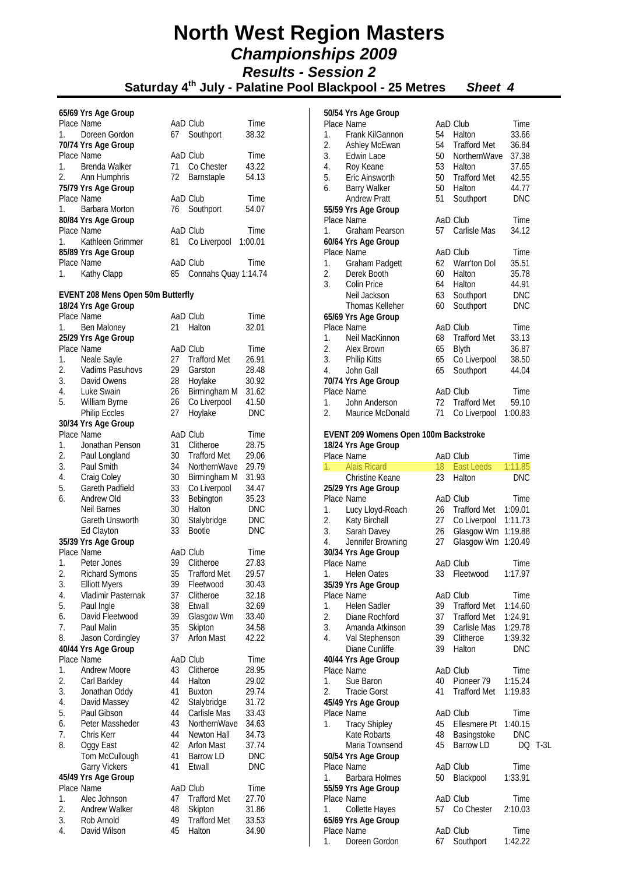|                  | 65/69 Yrs Age Group               |                 |                      |            |
|------------------|-----------------------------------|-----------------|----------------------|------------|
|                  | Place Name                        |                 | AaD Club             | Time       |
| 1.               | Doreen Gordon                     | 67              | Southport            | 38.32      |
|                  | 70/74 Yrs Age Group               |                 |                      |            |
|                  | Place Name                        |                 | AaD Club             | Time       |
| 1.               | Brenda Walker                     | 71              | Co Chester           | 43.22      |
| 2.               | Ann Humphris                      | 72              | Barnstaple           | 54.13      |
|                  | 75/79 Yrs Age Group               |                 |                      |            |
|                  | Place Name                        |                 | AaD Club             | Time       |
| 1.               | Barbara Morton                    | 76              | Southport            | 54.07      |
|                  | 80/84 Yrs Age Group               |                 |                      |            |
|                  | Place Name                        |                 | AaD Club             | Time       |
| 1.               | Kathleen Grimmer                  | 81              | Co Liverpool         | 1:00.01    |
|                  | 85/89 Yrs Age Group               |                 |                      |            |
|                  | Place Name                        |                 | AaD Club             | Time       |
| 1.               | Kathy Clapp                       | 85              | Connahs Quay 1:14.74 |            |
|                  |                                   |                 |                      |            |
|                  | EVENT 208 Mens Open 50m Butterfly |                 |                      |            |
|                  | 18/24 Yrs Age Group               |                 |                      |            |
|                  | Place Name                        |                 | AaD Club             | Time       |
| 1.               | Ben Maloney                       | 21              | Halton               | 32.01      |
|                  | 25/29 Yrs Age Group               |                 |                      |            |
|                  | Place Name                        |                 | AaD Club             | Time       |
| 1.               | Neale Sayle                       | 27              | <b>Trafford Met</b>  | 26.91      |
| 2.               | Vadims Pasuhovs                   | 29              | Garston              | 28.48      |
| 3.               | David Owens                       | $\frac{1}{28}$  | Hoylake              | 30.92      |
| 4.               | Luke Swain                        | 26              | Birmingham M         | 31.62      |
| 5.               | William Byrne                     | 26              | Co Liverpool         | 41.50      |
|                  | Philip Eccles                     | 27              | Hoylake              | DNC        |
|                  | 30/34 Yrs Age Group               |                 |                      |            |
|                  | Place Name                        |                 | AaD Club             |            |
| 1.               |                                   | 31              | Clitheroe            | Time       |
| 2.               | Jonathan Penson                   | 30              |                      | 28.75      |
|                  | Paul Longland                     |                 | <b>Trafford Met</b>  | 29.06      |
| 3.               | Paul Smith                        | 34              | NorthernWave         | 29.79      |
| 4.               | Craig Coley                       | 30 <sub>o</sub> | Birmingham M         | 31.93      |
| 5.               | Gareth Padfield                   | 33              | Co Liverpool         | 34.47      |
| 6.               | Andrew Old                        | 33              | Bebington            | 35.23      |
|                  | Neil Barnes                       | 30 <sup>°</sup> | Halton               | DNC        |
|                  | Gareth Unsworth                   | 30              | Stalybridge          | <b>DNC</b> |
|                  | Ed Clayton                        | 33              | <b>Bootle</b>        | <b>DNC</b> |
|                  | 35/39 Yrs Age Group               |                 |                      |            |
|                  | Place Name                        |                 | AaD Club             | Time       |
| 1.               | Peter Jones                       | 39              | Clitheroe            | 27.83      |
| 2.               | Richard Symons                    | 35              | <b>Trafford Met</b>  | 29.57      |
| 3.               | <b>Elliott Myers</b>              | 39              | Fleetwood            | 30.43      |
| 4.               | Vladimir Pasternak                | 37              | Clitheroe            | 32.18      |
| 5.               | Paul Ingle                        | 38              | Etwall               | 32.69      |
| 6.               | David Fleetwood                   | 39              | Glasgow Wm           | 33.40      |
| 7.               | Paul Malin                        | 35              | Skipton              | 34.58      |
| 8.               | Jason Cordingley                  | 37              | <b>Arfon Mast</b>    | 42.22      |
|                  | 40/44 Yrs Age Group               |                 |                      |            |
|                  | Place Name                        |                 | AaD Club             | Time       |
| 1.               | Andrew Moore                      | 43              | Clitheroe            | 28.95      |
| $\overline{2}$ . | Carl Barkley                      | 44              | Halton               | 29.02      |
| 3.               | Jonathan Oddy                     | 41              | <b>Buxton</b>        | 29.74      |
| 4.               | David Massey                      | 42              | Stalybridge          | 31.72      |
| 5.               | Paul Gibson                       | 44              | Carlisle Mas         | 33.43      |
| 6.               | Peter Massheder                   | 43              | NorthernWave         | 34.63      |
| 7.               | Chris Kerr                        | 44              | Newton Hall          | 34.73      |
| 8.               | Oggy East                         | 42              | <b>Arfon Mast</b>    | 37.74      |
|                  | Tom McCullough                    | 41              | <b>Barrow LD</b>     | <b>DNC</b> |
|                  | <b>Garry Vickers</b>              | 41              | Etwall               | <b>DNC</b> |
|                  | 45/49 Yrs Age Group               |                 |                      |            |
|                  | Place Name                        |                 | AaD Club             | Time       |
| 1.               | Alec Johnson                      | 47              | <b>Trafford Met</b>  | 27.70      |
| 2.               | <b>Andrew Walker</b>              | 48              | Skipton              | 31.86      |
| 3.               | Rob Arnold                        | 49              | <b>Trafford Met</b>  | 33.53      |
| 4.               | David Wilson                      | 45              | Halton               | 34.90      |
|                  |                                   |                 |                      |            |

|         | 50/54 Yrs Age Group                   |    |                     |            |
|---------|---------------------------------------|----|---------------------|------------|
|         | Place Name                            |    | AaD Club            | Time       |
| 1.      | Frank KilGannon                       | 54 | Halton              | 33.66      |
| 2.      | Ashley McEwan                         | 54 | <b>Trafford Met</b> | 36.84      |
| 3.      | Edwin Lace                            | 50 | NorthernWave        | 37.38      |
| 4.      | Roy Keane                             | 53 | Halton              | 37.65      |
| 5.      | Eric Ainsworth                        | 50 | <b>Trafford Met</b> | 42.55      |
| 6.      | <b>Barry Walker</b>                   | 50 | Halton              | 44.77      |
|         | <b>Andrew Pratt</b>                   | 51 | Southport           | <b>DNC</b> |
|         | 55/59 Yrs Age Group                   |    |                     |            |
|         | Place Name                            |    | AaD Club            | Time       |
| 1.      | <b>Graham Pearson</b>                 | 57 | Carlisle Mas        | 34.12      |
|         | 60/64 Yrs Age Group                   |    |                     |            |
|         | Place Name                            |    | AaD Club            | Time       |
| 1.      | Graham Padgett                        | 62 | Warr'ton Dol        | 35.51      |
| 2.      | Derek Booth                           | 60 | Halton              | 35.78      |
| 3.      | Colin Price                           | 64 | Halton              | 44.91      |
|         | Neil Jackson                          | 63 | Southport           | <b>DNC</b> |
|         | Thomas Kelleher                       | 60 | Southport           | <b>DNC</b> |
|         | 65/69 Yrs Age Group                   |    |                     |            |
|         | Place Name                            |    | AaD Club            | Time       |
| 1.      | Neil MacKinnon                        | 68 | <b>Trafford Met</b> | 33.13      |
| 2.      | Alex Brown                            | 65 | <b>Blyth</b>        | 36.87      |
| 3.      | <b>Philip Kitts</b>                   | 65 | Co Liverpool        | 38.50      |
| 4.      | John Gall                             | 65 | Southport           | 44.04      |
|         | 70/74 Yrs Age Group                   |    |                     |            |
|         | Place Name                            |    | AaD Club            | Time       |
| 1.      | John Anderson                         | 72 | <b>Trafford Met</b> | 59.10      |
| 2.      | Maurice McDonald                      | 71 | Co Liverpool        | 1:00.83    |
|         | EVENT 209 Womens Open 100m Backstroke |    |                     |            |
|         | 18/24 Yrs Age Group                   |    |                     |            |
|         | Place Name                            |    | AaD Club            | Time       |
| $1_{-}$ | <b>Alais Ricard</b>                   | 18 | East Leeds          | 1:11.85    |
|         | Christine Keane                       | 23 | Halton              | <b>DNC</b> |
| 0.0001  |                                       |    |                     |            |

|    | 1. <b>Alais Ricalu</b> |    | $10$ Last Legus 1.11.00 |            |         |
|----|------------------------|----|-------------------------|------------|---------|
|    | Christine Keane        | 23 | Halton                  | DNC        |         |
|    | 25/29 Yrs Age Group    |    |                         |            |         |
|    | Place Name             |    | AaD Club                | Time       |         |
| 1. | Lucy Lloyd-Roach       |    | 26 Trafford Met 1:09.01 |            |         |
| 2. | Katy Birchall          | 27 | Co Liverpool 1:11.73    |            |         |
|    | 3. Sarah Davey         | 26 | Glasgow Wm 1:19.88      |            |         |
| 4. | Jennifer Browning      | 27 | Glasgow Wm 1:20.49      |            |         |
|    | 30/34 Yrs Age Group    |    |                         |            |         |
|    | Place Name             |    | AaD Club                | Time       |         |
|    | 1. Helen Oates         | 33 | Fleetwood               | 1:17.97    |         |
|    | 35/39 Yrs Age Group    |    |                         |            |         |
|    | Place Name             |    | AaD Club                | Time       |         |
| 1. | <b>Helen Sadler</b>    | 39 | <b>Trafford Met</b>     | 1:14.60    |         |
| 2. | Diane Rochford         |    | 37 Trafford Met         | 1:24.91    |         |
| 3. | Amanda Atkinson        |    | 39 Carlisle Mas         | 1:29.78    |         |
| 4. | Val Stephenson         |    | 39 Clitheroe            | 1:39.32    |         |
|    | Diane Cunliffe         |    | 39 Halton               | <b>DNC</b> |         |
|    | 40/44 Yrs Age Group    |    |                         |            |         |
|    | Place Name             |    | AaD Club                | Time       |         |
| 1. | Sue Baron              | 40 | Pioneer 79              | 1:15.24    |         |
| 2. | Tracie Gorst           | 41 | <b>Trafford Met</b>     | 1:19.83    |         |
|    | 45/49 Yrs Age Group    |    |                         |            |         |
|    | Place Name             |    | AaD Club                | Time       |         |
| 1. | <b>Tracy Shipley</b>   | 45 | Ellesmere Pt            | 1:40.15    |         |
|    | Kate Robarts           | 48 | Basingstoke             | <b>DNC</b> |         |
|    | Maria Townsend         | 45 | Barrow LD               |            | DQ T-3L |
|    | 50/54 Yrs Age Group    |    |                         |            |         |
|    | Place Name             |    | AaD Club                | Time       |         |
|    | 1. Barbara Holmes      | 50 | Blackpool               | 1:33.91    |         |
|    | 55/59 Yrs Age Group    |    |                         |            |         |
|    | Place Name             |    | AaD Club                | Time       |         |
|    | 1. Collette Hayes      | 57 | Co Chester              | 2:10.03    |         |
|    | 65/69 Yrs Age Group    |    |                         |            |         |
|    | Place Name             |    | AaD Club                | Time       |         |
| 1. | Doreen Gordon          | 67 | Southport               | 1:42.22    |         |